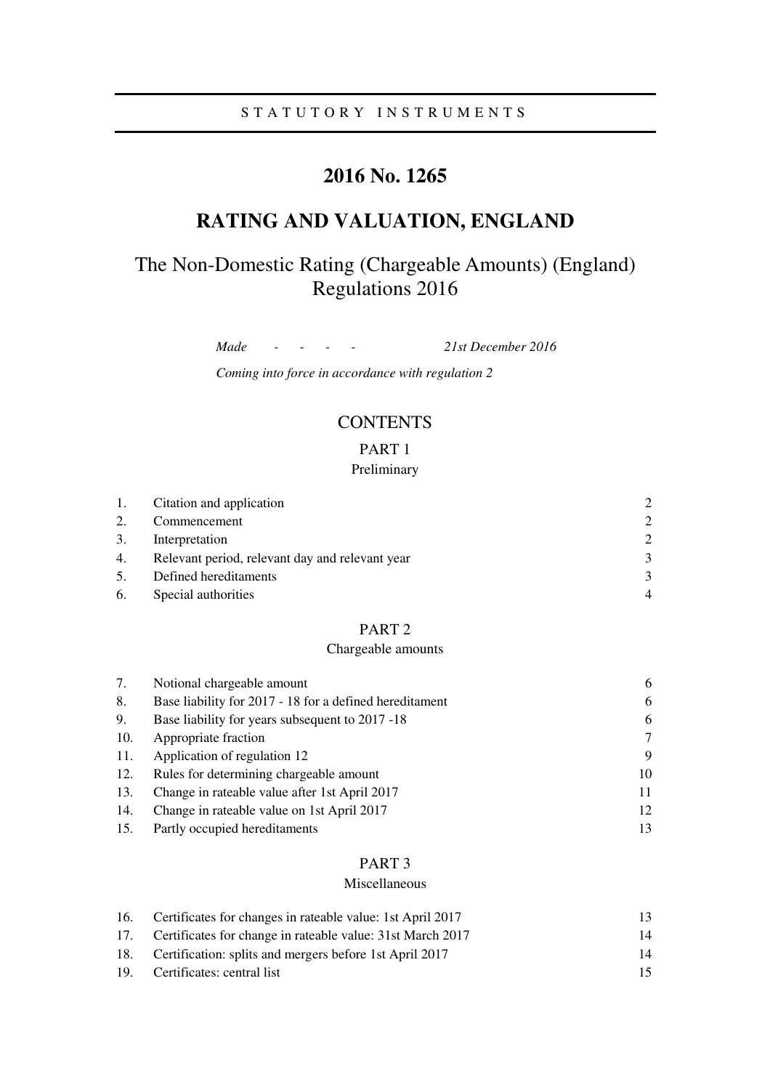# S T A T U T O R Y I N S T R U M E N T S

# **2016 No. 1265**

# **RATING AND VALUATION, ENGLAND**

# The Non-Domestic Rating (Chargeable Amounts) (England) Regulations 2016

*Made - - - - 21st December 2016* 

*Coming into force in accordance with regulation 2* 

# **CONTENTS**

# PART 1

# Preliminary

| 1.             | Citation and application                        |                             |
|----------------|-------------------------------------------------|-----------------------------|
| 2.             | Commencement                                    | $\mathcal{D}_{\cdot}$       |
| 3.             | Interpretation                                  | $\mathcal{D}_{\mathcal{L}}$ |
| 4.             | Relevant period, relevant day and relevant year | 3                           |
| 5 <sub>1</sub> | Defined hereditaments                           | $\mathcal{R}$               |
| 6.             | Special authorities                             |                             |

# PART 2

# Chargeable amounts

| 7.  | Notional chargeable amount                              | 6  |
|-----|---------------------------------------------------------|----|
| 8.  | Base liability for 2017 - 18 for a defined hereditament | 6  |
| 9.  | Base liability for years subsequent to 2017 -18         | 6  |
| 10. | Appropriate fraction                                    | 7  |
| 11. | Application of regulation 12                            | 9  |
| 12. | Rules for determining chargeable amount                 | 10 |
| 13. | Change in rateable value after 1st April 2017           | 11 |
| 14. | Change in rateable value on 1st April 2017              | 12 |
| 15. | Partly occupied hereditaments                           | 13 |

# PART 3

# Miscellaneous

| 16. | Certificates for changes in rateable value: 1st April 2017     | 13. |
|-----|----------------------------------------------------------------|-----|
|     | 17. Certificates for change in rateable value: 31st March 2017 | 14  |
| 18. | Certification: splits and mergers before 1st April 2017        | 14  |
| 19. | Certificates: central list                                     | 15. |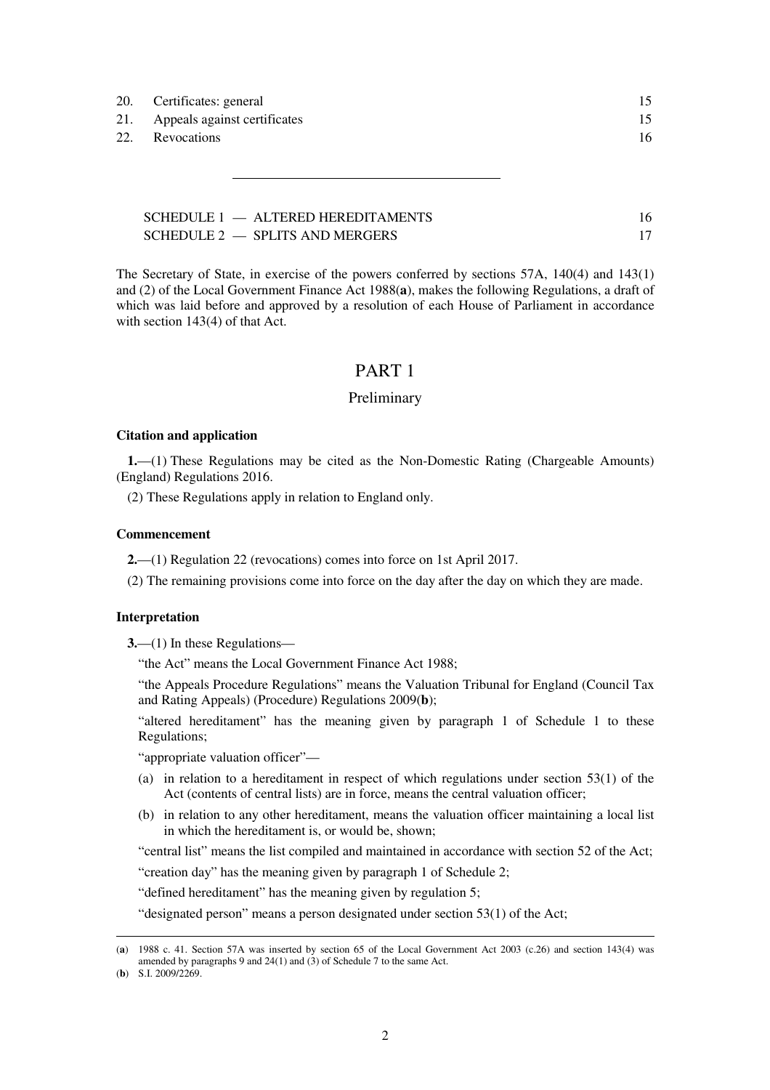- 20. Certificates: general 15
- 21. Appeals against certificates 15
- 22. Revocations 16

| $SCHEDULE 1$ $-$ ALTERED HEREDITAMENTS |  |
|----------------------------------------|--|
| $SCHEDULE 2$ - SPLITS AND MERGERS      |  |

The Secretary of State, in exercise of the powers conferred by sections 57A, 140(4) and 143(1) and (2) of the Local Government Finance Act 1988(**a**), makes the following Regulations, a draft of which was laid before and approved by a resolution of each House of Parliament in accordance with section 143(4) of that Act.

# PART 1

# Preliminary

## **Citation and application**

**1.**—(1) These Regulations may be cited as the Non-Domestic Rating (Chargeable Amounts) (England) Regulations 2016.

(2) These Regulations apply in relation to England only.

# **Commencement**

- **2.**—(1) Regulation 22 (revocations) comes into force on 1st April 2017.
- (2) The remaining provisions come into force on the day after the day on which they are made.

## **Interpretation**

**3.**—(1) In these Regulations—

"the Act" means the Local Government Finance Act 1988;

"the Appeals Procedure Regulations" means the Valuation Tribunal for England (Council Tax and Rating Appeals) (Procedure) Regulations 2009(**b**);

"altered hereditament" has the meaning given by paragraph 1 of Schedule 1 to these Regulations;

"appropriate valuation officer"—

- (a) in relation to a hereditament in respect of which regulations under section 53(1) of the Act (contents of central lists) are in force, means the central valuation officer;
- (b) in relation to any other hereditament, means the valuation officer maintaining a local list in which the hereditament is, or would be, shown;

"central list" means the list compiled and maintained in accordance with section 52 of the Act;

"creation day" has the meaning given by paragraph 1 of Schedule 2;

"defined hereditament" has the meaning given by regulation 5;

"designated person" means a person designated under section 53(1) of the Act;

(**b**) S.I. 2009/2269.

<u>.</u>

<sup>(</sup>**a**) 1988 c. 41. Section 57A was inserted by section 65 of the Local Government Act 2003 (c.26) and section 143(4) was amended by paragraphs 9 and 24(1) and (3) of Schedule 7 to the same Act.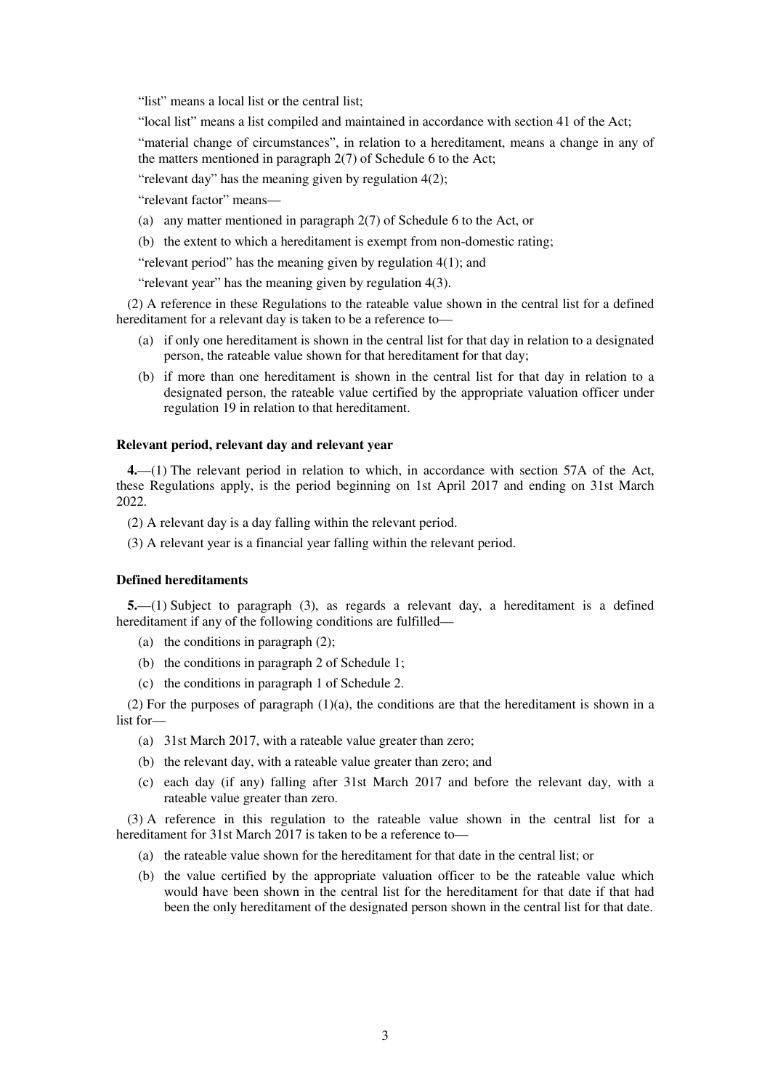"list" means a local list or the central list;

"local list" means a list compiled and maintained in accordance with section 41 of the Act;

"material change of circumstances", in relation to a hereditament, means a change in any of the matters mentioned in paragraph 2(7) of Schedule 6 to the Act;

"relevant day" has the meaning given by regulation 4(2);

"relevant factor" means—

- (a) any matter mentioned in paragraph 2(7) of Schedule 6 to the Act, or
- (b) the extent to which a hereditament is exempt from non-domestic rating;

"relevant period" has the meaning given by regulation 4(1); and

"relevant year" has the meaning given by regulation 4(3).

(2) A reference in these Regulations to the rateable value shown in the central list for a defined hereditament for a relevant day is taken to be a reference to—

- (a) if only one hereditament is shown in the central list for that day in relation to a designated person, the rateable value shown for that hereditament for that day;
- (b) if more than one hereditament is shown in the central list for that day in relation to a designated person, the rateable value certified by the appropriate valuation officer under regulation 19 in relation to that hereditament.

### **Relevant period, relevant day and relevant year**

**4.**—(1) The relevant period in relation to which, in accordance with section 57A of the Act, these Regulations apply, is the period beginning on 1st April 2017 and ending on 31st March 2022.

- (2) A relevant day is a day falling within the relevant period.
- (3) A relevant year is a financial year falling within the relevant period.

#### **Defined hereditaments**

**5.**—(1) Subject to paragraph (3), as regards a relevant day, a hereditament is a defined hereditament if any of the following conditions are fulfilled—

- (a) the conditions in paragraph (2);
- (b) the conditions in paragraph 2 of Schedule 1;
- (c) the conditions in paragraph 1 of Schedule 2.

(2) For the purposes of paragraph (1)(a), the conditions are that the hereditament is shown in a list for—

- (a) 31st March 2017, with a rateable value greater than zero;
- (b) the relevant day, with a rateable value greater than zero; and
- (c) each day (if any) falling after 31st March 2017 and before the relevant day, with a rateable value greater than zero.

(3) A reference in this regulation to the rateable value shown in the central list for a hereditament for 31st March 2017 is taken to be a reference to—

- (a) the rateable value shown for the hereditament for that date in the central list; or
- (b) the value certified by the appropriate valuation officer to be the rateable value which would have been shown in the central list for the hereditament for that date if that had been the only hereditament of the designated person shown in the central list for that date.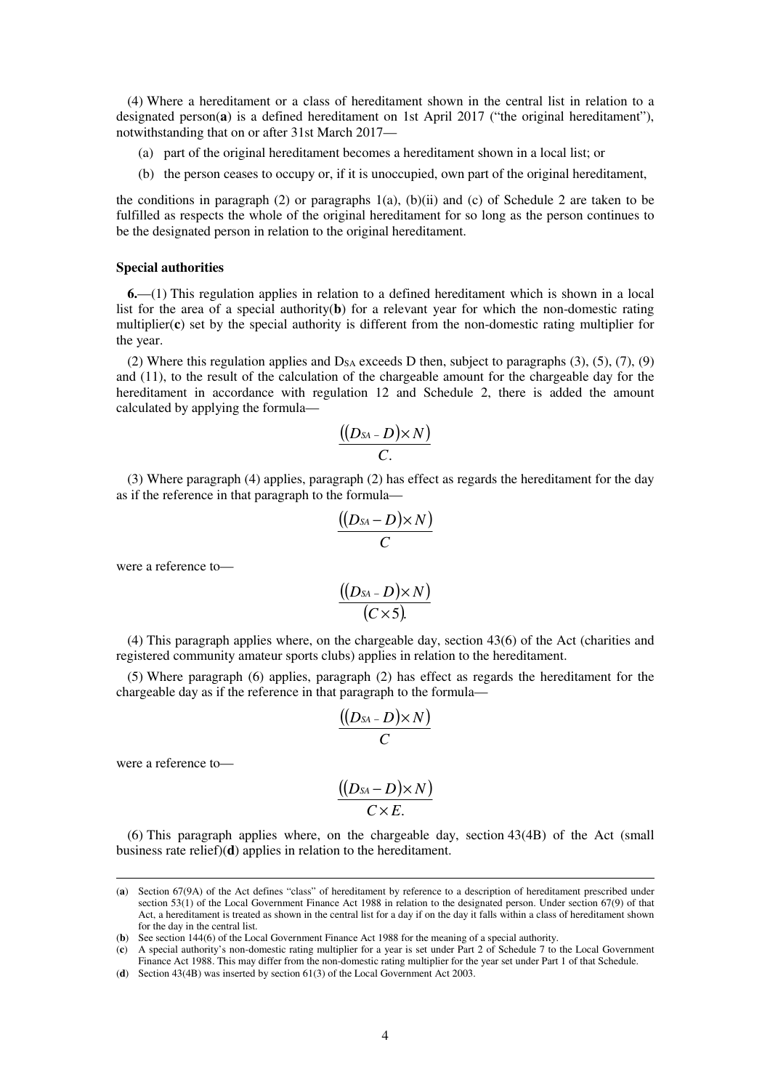(4) Where a hereditament or a class of hereditament shown in the central list in relation to a designated person(**a**) is a defined hereditament on 1st April 2017 ("the original hereditament"), notwithstanding that on or after 31st March 2017—

- (a) part of the original hereditament becomes a hereditament shown in a local list; or
- (b) the person ceases to occupy or, if it is unoccupied, own part of the original hereditament,

the conditions in paragraph  $(2)$  or paragraphs  $1(a)$ ,  $(b)(ii)$  and  $(c)$  of Schedule 2 are taken to be fulfilled as respects the whole of the original hereditament for so long as the person continues to be the designated person in relation to the original hereditament.

#### **Special authorities**

**6.**—(1) This regulation applies in relation to a defined hereditament which is shown in a local list for the area of a special authority(**b**) for a relevant year for which the non-domestic rating multiplier(**c**) set by the special authority is different from the non-domestic rating multiplier for the year.

(2) Where this regulation applies and  $D_{SA}$  exceeds D then, subject to paragraphs (3), (5), (7), (9) and (11), to the result of the calculation of the chargeable amount for the chargeable day for the hereditament in accordance with regulation 12 and Schedule 2, there is added the amount calculated by applying the formula—

$$
\frac{((D_{SA}-D)\times N)}{C}
$$

(3) Where paragraph (4) applies, paragraph (2) has effect as regards the hereditament for the day as if the reference in that paragraph to the formula—

$$
\frac{((D_{SA}-D)\times N)}{C}
$$

were a reference to—

$$
\frac{((D_{\mathrm{SA}}-D)\times N)}{(C\times 5)}
$$

(4) This paragraph applies where, on the chargeable day, section 43(6) of the Act (charities and registered community amateur sports clubs) applies in relation to the hereditament.

(5) Where paragraph (6) applies, paragraph (2) has effect as regards the hereditament for the chargeable day as if the reference in that paragraph to the formula—

$$
\frac{((D_{SA}-D)\times N)}{C}
$$

were a reference to—

<u>.</u>

$$
\frac{((D_{SA}-D)\times N)}{C\times E}
$$

(6) This paragraph applies where, on the chargeable day, section 43(4B) of the Act (small business rate relief)(**d**) applies in relation to the hereditament.

<sup>(</sup>**a**) Section 67(9A) of the Act defines "class" of hereditament by reference to a description of hereditament prescribed under section 53(1) of the Local Government Finance Act 1988 in relation to the designated person. Under section 67(9) of that Act, a hereditament is treated as shown in the central list for a day if on the day it falls within a class of hereditament shown for the day in the central list.

<sup>(</sup>**b**) See section 144(6) of the Local Government Finance Act 1988 for the meaning of a special authority.

<sup>(</sup>**c**) A special authority's non-domestic rating multiplier for a year is set under Part 2 of Schedule 7 to the Local Government Finance Act 1988. This may differ from the non-domestic rating multiplier for the year set under Part 1 of that Schedule.

<sup>(</sup>**d**) Section 43(4B) was inserted by section 61(3) of the Local Government Act 2003.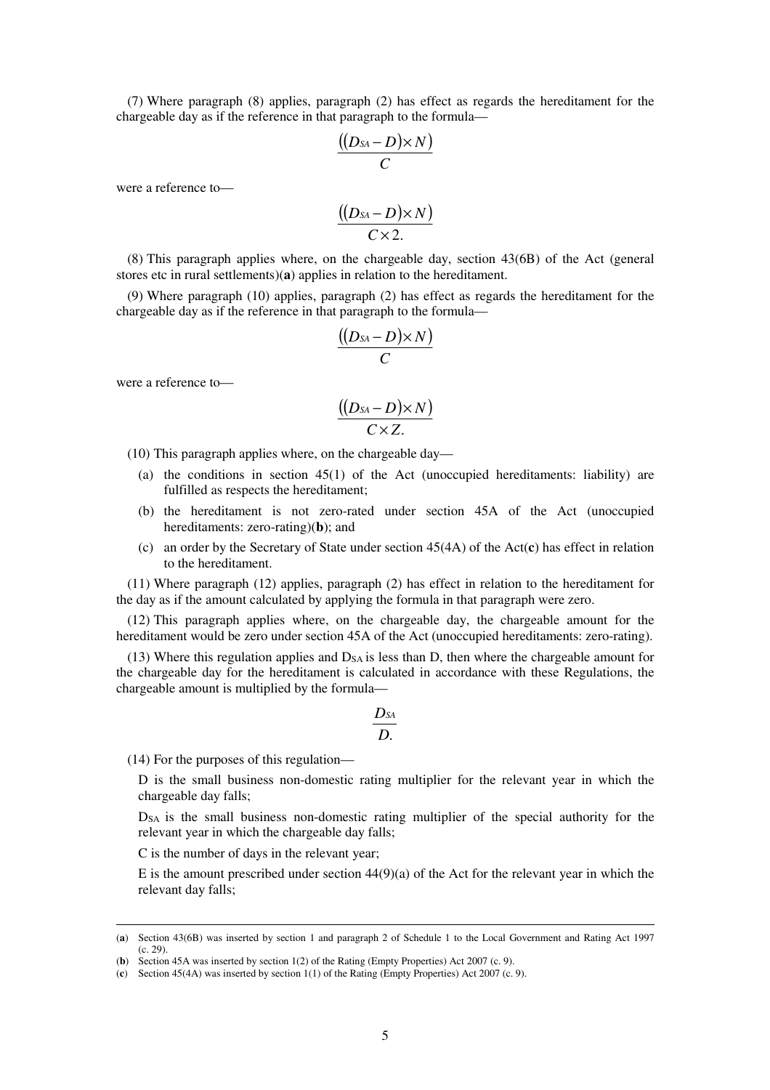(7) Where paragraph (8) applies, paragraph (2) has effect as regards the hereditament for the chargeable day as if the reference in that paragraph to the formula—

$$
\frac{((D_{SA}-D)\times N)}{C}
$$

were a reference to—

$$
\frac{((D_{SA}-D)\times N)}{C\times 2}
$$

(8) This paragraph applies where, on the chargeable day, section 43(6B) of the Act (general stores etc in rural settlements)(**a**) applies in relation to the hereditament.

(9) Where paragraph (10) applies, paragraph (2) has effect as regards the hereditament for the chargeable day as if the reference in that paragraph to the formula—

$$
\frac{((D_{SA}-D)\times N)}{C}
$$

were a reference to—

$$
\frac{((D_{SA}-D)\times N)}{C\times Z}
$$

(10) This paragraph applies where, on the chargeable day—

- (a) the conditions in section 45(1) of the Act (unoccupied hereditaments: liability) are fulfilled as respects the hereditament;
- (b) the hereditament is not zero-rated under section 45A of the Act (unoccupied hereditaments: zero-rating)(**b**); and
- (c) an order by the Secretary of State under section 45(4A) of the Act(**c**) has effect in relation to the hereditament.

(11) Where paragraph (12) applies, paragraph (2) has effect in relation to the hereditament for the day as if the amount calculated by applying the formula in that paragraph were zero.

(12) This paragraph applies where, on the chargeable day, the chargeable amount for the hereditament would be zero under section 45A of the Act (unoccupied hereditaments: zero-rating).

(13) Where this regulation applies and  $D_{SA}$  is less than D, then where the chargeable amount for the chargeable day for the hereditament is calculated in accordance with these Regulations, the chargeable amount is multiplied by the formula—

$$
\frac{D_{\text{SA}}}{D}
$$

(14) For the purposes of this regulation—

D is the small business non-domestic rating multiplier for the relevant year in which the chargeable day falls;

 $D_{SA}$  is the small business non-domestic rating multiplier of the special authority for the relevant year in which the chargeable day falls;

C is the number of days in the relevant year;

<u>.</u>

E is the amount prescribed under section  $44(9)(a)$  of the Act for the relevant year in which the relevant day falls;

<sup>(</sup>**a**) Section 43(6B) was inserted by section 1 and paragraph 2 of Schedule 1 to the Local Government and Rating Act 1997 (c. 29).

<sup>(</sup>**b**) Section 45A was inserted by section 1(2) of the Rating (Empty Properties) Act 2007 (c. 9).

<sup>(</sup>**c**) Section 45(4A) was inserted by section 1(1) of the Rating (Empty Properties) Act 2007 (c. 9).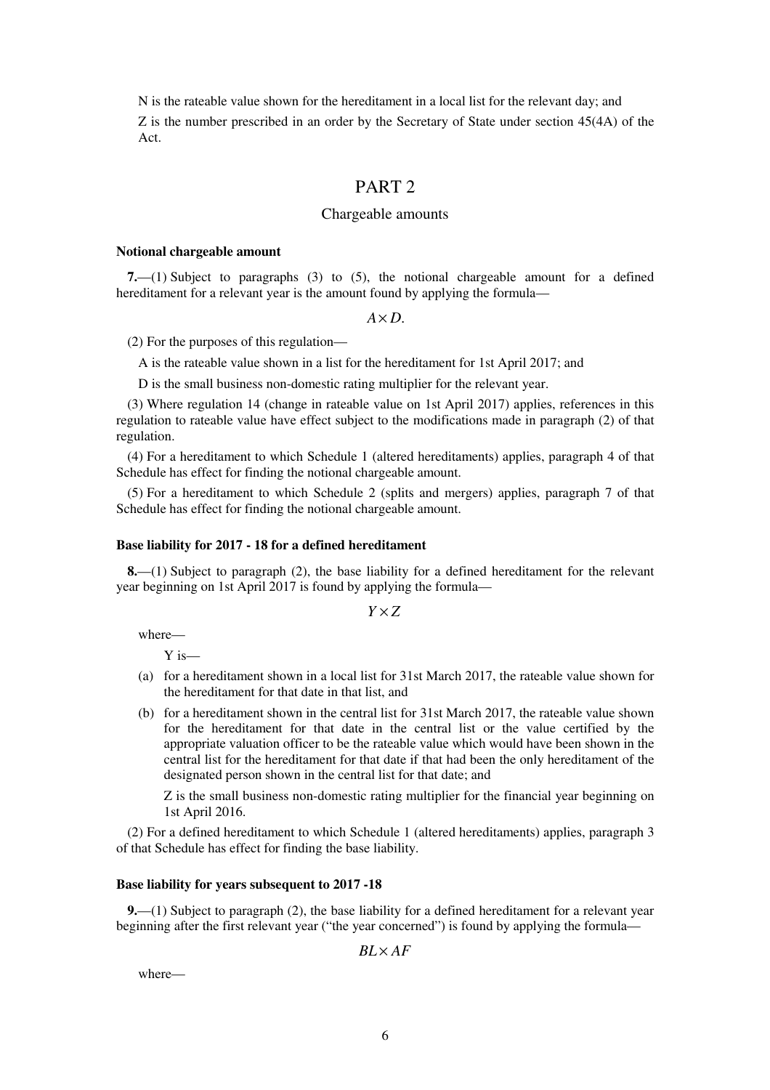N is the rateable value shown for the hereditament in a local list for the relevant day; and Z is the number prescribed in an order by the Secretary of State under section 45(4A) of the Act.

# PART 2

#### Chargeable amounts

#### **Notional chargeable amount**

**7.**—(1) Subject to paragraphs (3) to (5), the notional chargeable amount for a defined hereditament for a relevant year is the amount found by applying the formula—

*A*× *D*.

(2) For the purposes of this regulation—

A is the rateable value shown in a list for the hereditament for 1st April 2017; and

D is the small business non-domestic rating multiplier for the relevant year.

(3) Where regulation 14 (change in rateable value on 1st April 2017) applies, references in this regulation to rateable value have effect subject to the modifications made in paragraph (2) of that regulation.

(4) For a hereditament to which Schedule 1 (altered hereditaments) applies, paragraph 4 of that Schedule has effect for finding the notional chargeable amount.

(5) For a hereditament to which Schedule 2 (splits and mergers) applies, paragraph 7 of that Schedule has effect for finding the notional chargeable amount.

# **Base liability for 2017 - 18 for a defined hereditament**

**8.**—(1) Subject to paragraph (2), the base liability for a defined hereditament for the relevant year beginning on 1st April 2017 is found by applying the formula—

*Y* × *Z*

where—

Y is—

- (a) for a hereditament shown in a local list for 31st March 2017, the rateable value shown for the hereditament for that date in that list, and
- (b) for a hereditament shown in the central list for 31st March 2017, the rateable value shown for the hereditament for that date in the central list or the value certified by the appropriate valuation officer to be the rateable value which would have been shown in the central list for the hereditament for that date if that had been the only hereditament of the designated person shown in the central list for that date; and

Z is the small business non-domestic rating multiplier for the financial year beginning on 1st April 2016.

(2) For a defined hereditament to which Schedule 1 (altered hereditaments) applies, paragraph 3 of that Schedule has effect for finding the base liability.

# **Base liability for years subsequent to 2017 -18**

**9.**—(1) Subject to paragraph (2), the base liability for a defined hereditament for a relevant year beginning after the first relevant year ("the year concerned") is found by applying the formula—

 $BL \times AF$ 

where—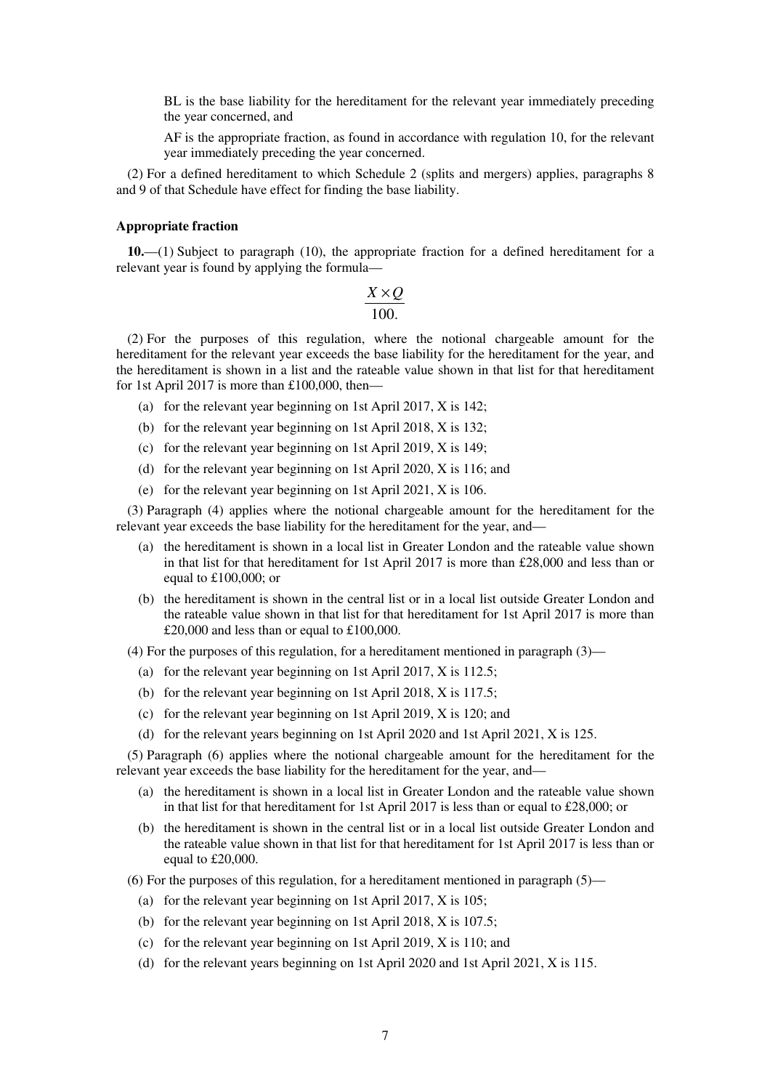BL is the base liability for the hereditament for the relevant year immediately preceding the year concerned, and

AF is the appropriate fraction, as found in accordance with regulation 10, for the relevant year immediately preceding the year concerned.

(2) For a defined hereditament to which Schedule 2 (splits and mergers) applies, paragraphs 8 and 9 of that Schedule have effect for finding the base liability.

### **Appropriate fraction**

**10.**—(1) Subject to paragraph (10), the appropriate fraction for a defined hereditament for a relevant year is found by applying the formula—

$$
\frac{X \times Q}{100}
$$

(2) For the purposes of this regulation, where the notional chargeable amount for the hereditament for the relevant year exceeds the base liability for the hereditament for the year, and the hereditament is shown in a list and the rateable value shown in that list for that hereditament for 1st April 2017 is more than £100,000, then—

- (a) for the relevant year beginning on 1st April 2017, X is 142;
- (b) for the relevant year beginning on 1st April 2018, X is 132;
- (c) for the relevant year beginning on 1st April 2019, X is 149;
- (d) for the relevant year beginning on 1st April 2020, X is 116; and
- (e) for the relevant year beginning on 1st April 2021, X is 106.

(3) Paragraph (4) applies where the notional chargeable amount for the hereditament for the relevant year exceeds the base liability for the hereditament for the year, and—

- (a) the hereditament is shown in a local list in Greater London and the rateable value shown in that list for that hereditament for 1st April 2017 is more than £28,000 and less than or equal to £100,000; or
- (b) the hereditament is shown in the central list or in a local list outside Greater London and the rateable value shown in that list for that hereditament for 1st April 2017 is more than  $£20,000$  and less than or equal to £100,000.
- (4) For the purposes of this regulation, for a hereditament mentioned in paragraph  $(3)$ 
	- (a) for the relevant year beginning on 1st April 2017, X is 112.5;
	- (b) for the relevant year beginning on 1st April 2018, X is 117.5;
	- (c) for the relevant year beginning on 1st April 2019, X is 120; and
	- (d) for the relevant years beginning on 1st April 2020 and 1st April 2021, X is 125.

(5) Paragraph (6) applies where the notional chargeable amount for the hereditament for the relevant year exceeds the base liability for the hereditament for the year, and—

- (a) the hereditament is shown in a local list in Greater London and the rateable value shown in that list for that hereditament for 1st April 2017 is less than or equal to £28,000; or
- (b) the hereditament is shown in the central list or in a local list outside Greater London and the rateable value shown in that list for that hereditament for 1st April 2017 is less than or equal to £20,000.
- (6) For the purposes of this regulation, for a hereditament mentioned in paragraph  $(5)$ 
	- (a) for the relevant year beginning on 1st April 2017, X is 105;
	- (b) for the relevant year beginning on 1st April 2018, X is 107.5;
	- (c) for the relevant year beginning on 1st April 2019, X is 110; and
	- (d) for the relevant years beginning on 1st April 2020 and 1st April 2021, X is 115.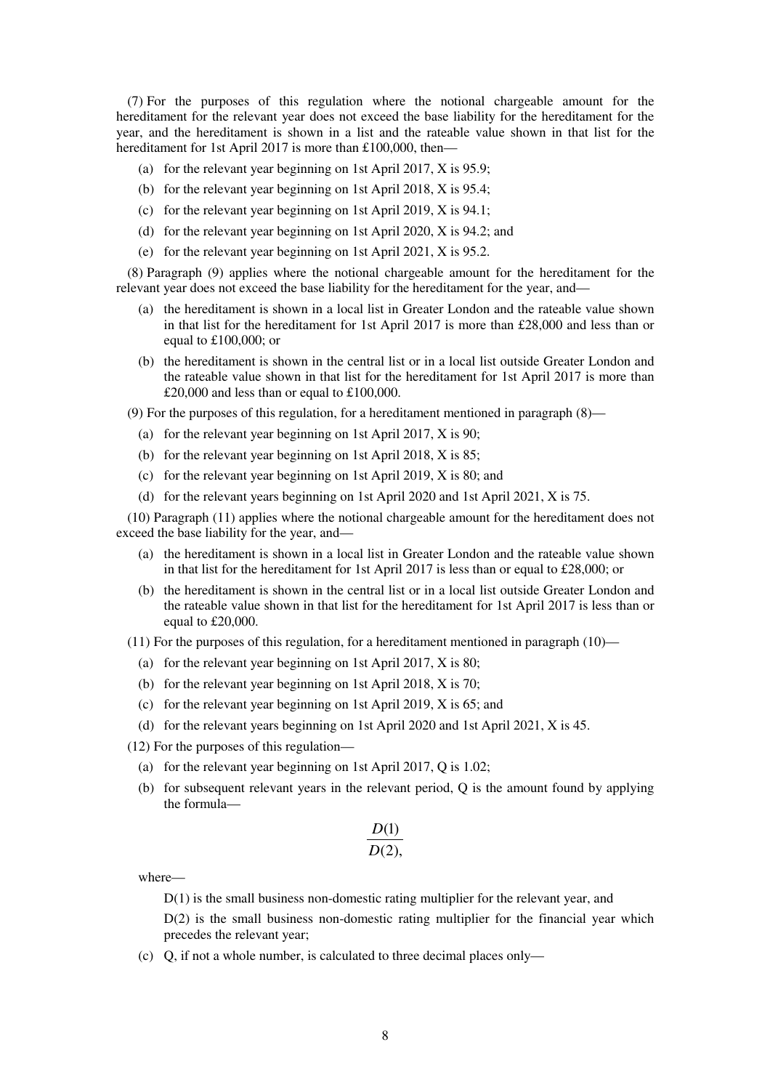(7) For the purposes of this regulation where the notional chargeable amount for the hereditament for the relevant year does not exceed the base liability for the hereditament for the year, and the hereditament is shown in a list and the rateable value shown in that list for the hereditament for 1st April 2017 is more than £100,000, then—

- (a) for the relevant year beginning on 1st April 2017, X is 95.9;
- (b) for the relevant year beginning on 1st April 2018, X is 95.4;
- (c) for the relevant year beginning on 1st April 2019, X is 94.1;
- (d) for the relevant year beginning on 1st April 2020, X is 94.2; and
- (e) for the relevant year beginning on 1st April 2021, X is 95.2.

(8) Paragraph (9) applies where the notional chargeable amount for the hereditament for the relevant year does not exceed the base liability for the hereditament for the year, and—

- (a) the hereditament is shown in a local list in Greater London and the rateable value shown in that list for the hereditament for 1st April 2017 is more than £28,000 and less than or equal to  $£100,000$ ; or
- (b) the hereditament is shown in the central list or in a local list outside Greater London and the rateable value shown in that list for the hereditament for 1st April 2017 is more than  $£20,000$  and less than or equal to £100,000.

(9) For the purposes of this regulation, for a hereditament mentioned in paragraph (8)—

- (a) for the relevant year beginning on 1st April 2017, X is 90;
- (b) for the relevant year beginning on 1st April 2018, X is 85;
- (c) for the relevant year beginning on 1st April 2019, X is 80; and
- (d) for the relevant years beginning on 1st April 2020 and 1st April 2021, X is 75.

(10) Paragraph (11) applies where the notional chargeable amount for the hereditament does not exceed the base liability for the year, and—

- (a) the hereditament is shown in a local list in Greater London and the rateable value shown in that list for the hereditament for 1st April 2017 is less than or equal to £28,000; or
- (b) the hereditament is shown in the central list or in a local list outside Greater London and the rateable value shown in that list for the hereditament for 1st April 2017 is less than or equal to £20,000.
- $(11)$  For the purposes of this regulation, for a hereditament mentioned in paragraph  $(10)$ 
	- (a) for the relevant year beginning on 1st April 2017, X is 80;
	- (b) for the relevant year beginning on 1st April 2018, X is 70;
	- (c) for the relevant year beginning on 1st April 2019, X is 65; and
	- (d) for the relevant years beginning on 1st April 2020 and 1st April 2021, X is 45.
- (12) For the purposes of this regulation—
	- (a) for the relevant year beginning on 1st April 2017, Q is 1.02;
	- (b) for subsequent relevant years in the relevant period, Q is the amount found by applying the formula—

$$
\frac{D(1)}{D(2)},
$$

where—

D(1) is the small business non-domestic rating multiplier for the relevant year, and  $D(2)$  is the small business non-domestic rating multiplier for the financial year which precedes the relevant year;

(c) Q, if not a whole number, is calculated to three decimal places only—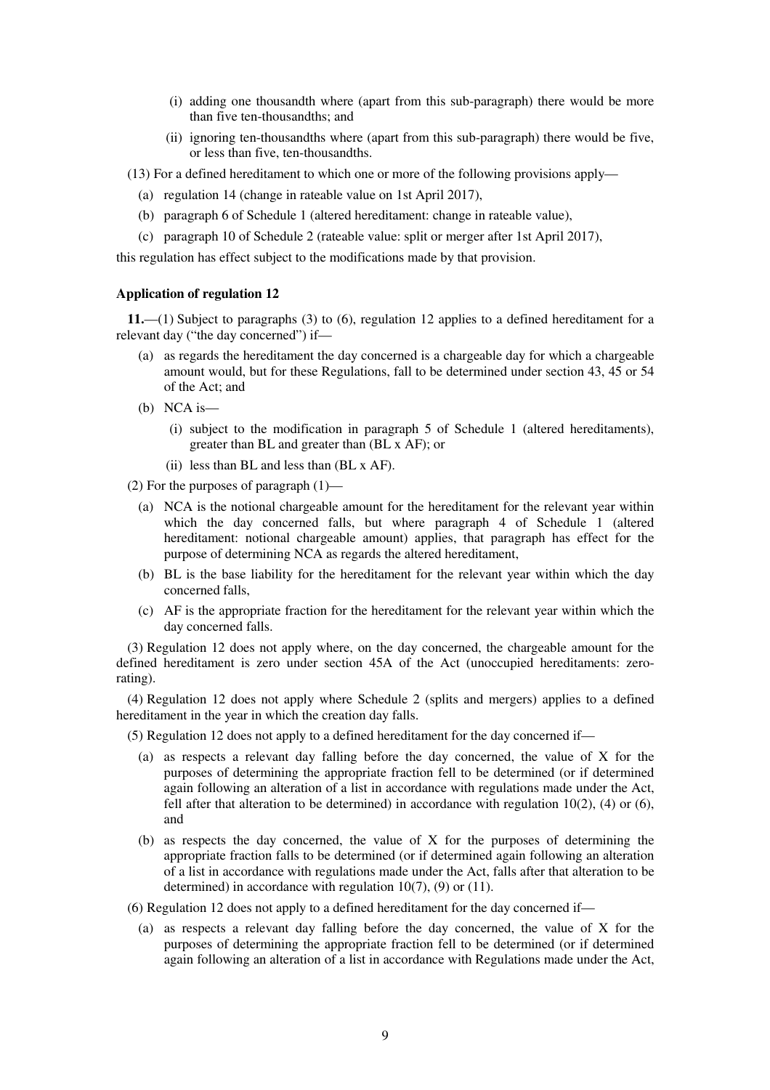- (i) adding one thousandth where (apart from this sub-paragraph) there would be more than five ten-thousandths; and
- (ii) ignoring ten-thousandths where (apart from this sub-paragraph) there would be five, or less than five, ten-thousandths.
- (13) For a defined hereditament to which one or more of the following provisions apply—
	- (a) regulation 14 (change in rateable value on 1st April 2017),
	- (b) paragraph 6 of Schedule 1 (altered hereditament: change in rateable value),
	- (c) paragraph 10 of Schedule 2 (rateable value: split or merger after 1st April 2017),

this regulation has effect subject to the modifications made by that provision.

## **Application of regulation 12**

**11.**—(1) Subject to paragraphs (3) to (6), regulation 12 applies to a defined hereditament for a relevant day ("the day concerned") if—

- (a) as regards the hereditament the day concerned is a chargeable day for which a chargeable amount would, but for these Regulations, fall to be determined under section 43, 45 or 54 of the Act; and
- (b) NCA is—
	- (i) subject to the modification in paragraph 5 of Schedule 1 (altered hereditaments), greater than BL and greater than (BL x AF); or
	- (ii) less than BL and less than (BL x AF).
- (2) For the purposes of paragraph (1)—
	- (a) NCA is the notional chargeable amount for the hereditament for the relevant year within which the day concerned falls, but where paragraph 4 of Schedule 1 (altered hereditament: notional chargeable amount) applies, that paragraph has effect for the purpose of determining NCA as regards the altered hereditament,
	- (b) BL is the base liability for the hereditament for the relevant year within which the day concerned falls,
	- (c) AF is the appropriate fraction for the hereditament for the relevant year within which the day concerned falls.

(3) Regulation 12 does not apply where, on the day concerned, the chargeable amount for the defined hereditament is zero under section 45A of the Act (unoccupied hereditaments: zerorating).

(4) Regulation 12 does not apply where Schedule 2 (splits and mergers) applies to a defined hereditament in the year in which the creation day falls.

(5) Regulation 12 does not apply to a defined hereditament for the day concerned if—

- (a) as respects a relevant day falling before the day concerned, the value of X for the purposes of determining the appropriate fraction fell to be determined (or if determined again following an alteration of a list in accordance with regulations made under the Act, fell after that alteration to be determined) in accordance with regulation  $10(2)$ , (4) or (6), and
- (b) as respects the day concerned, the value of X for the purposes of determining the appropriate fraction falls to be determined (or if determined again following an alteration of a list in accordance with regulations made under the Act, falls after that alteration to be determined) in accordance with regulation 10(7), (9) or (11).
- (6) Regulation 12 does not apply to a defined hereditament for the day concerned if—
	- (a) as respects a relevant day falling before the day concerned, the value of X for the purposes of determining the appropriate fraction fell to be determined (or if determined again following an alteration of a list in accordance with Regulations made under the Act,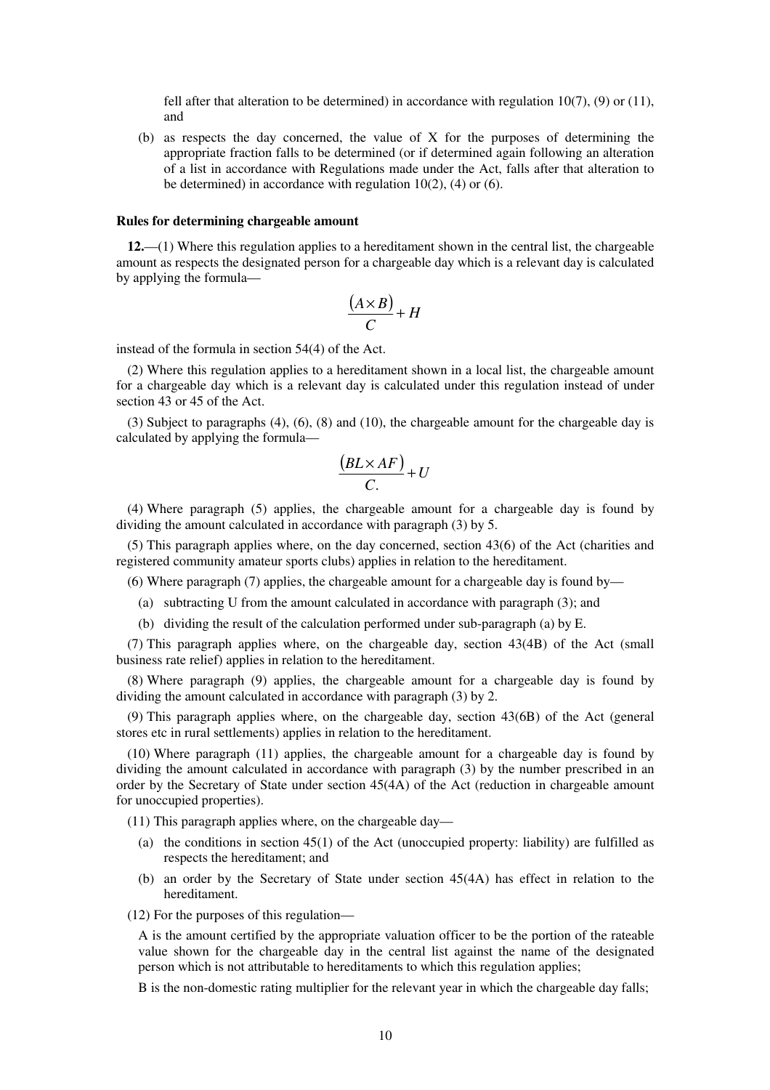fell after that alteration to be determined) in accordance with regulation  $10(7)$ , (9) or (11), and

(b) as respects the day concerned, the value of X for the purposes of determining the appropriate fraction falls to be determined (or if determined again following an alteration of a list in accordance with Regulations made under the Act, falls after that alteration to be determined) in accordance with regulation  $10(2)$ , (4) or (6).

#### **Rules for determining chargeable amount**

**12.**—(1) Where this regulation applies to a hereditament shown in the central list, the chargeable amount as respects the designated person for a chargeable day which is a relevant day is calculated by applying the formula—

$$
\frac{(A\times B)}{C} + H
$$

instead of the formula in section 54(4) of the Act.

(2) Where this regulation applies to a hereditament shown in a local list, the chargeable amount for a chargeable day which is a relevant day is calculated under this regulation instead of under section 43 or 45 of the Act.

(3) Subject to paragraphs (4), (6), (8) and (10), the chargeable amount for the chargeable day is calculated by applying the formula—

$$
\frac{(BL \times AF)}{C} + U
$$

(4) Where paragraph (5) applies, the chargeable amount for a chargeable day is found by dividing the amount calculated in accordance with paragraph (3) by 5.

(5) This paragraph applies where, on the day concerned, section 43(6) of the Act (charities and registered community amateur sports clubs) applies in relation to the hereditament.

(6) Where paragraph (7) applies, the chargeable amount for a chargeable day is found by—

- (a) subtracting U from the amount calculated in accordance with paragraph (3); and
- (b) dividing the result of the calculation performed under sub-paragraph (a) by E.

(7) This paragraph applies where, on the chargeable day, section 43(4B) of the Act (small business rate relief) applies in relation to the hereditament.

(8) Where paragraph (9) applies, the chargeable amount for a chargeable day is found by dividing the amount calculated in accordance with paragraph (3) by 2.

(9) This paragraph applies where, on the chargeable day, section 43(6B) of the Act (general stores etc in rural settlements) applies in relation to the hereditament.

(10) Where paragraph (11) applies, the chargeable amount for a chargeable day is found by dividing the amount calculated in accordance with paragraph (3) by the number prescribed in an order by the Secretary of State under section 45(4A) of the Act (reduction in chargeable amount for unoccupied properties).

(11) This paragraph applies where, on the chargeable day—

- (a) the conditions in section 45(1) of the Act (unoccupied property: liability) are fulfilled as respects the hereditament; and
- (b) an order by the Secretary of State under section 45(4A) has effect in relation to the hereditament.
- (12) For the purposes of this regulation—

A is the amount certified by the appropriate valuation officer to be the portion of the rateable value shown for the chargeable day in the central list against the name of the designated person which is not attributable to hereditaments to which this regulation applies;

B is the non-domestic rating multiplier for the relevant year in which the chargeable day falls;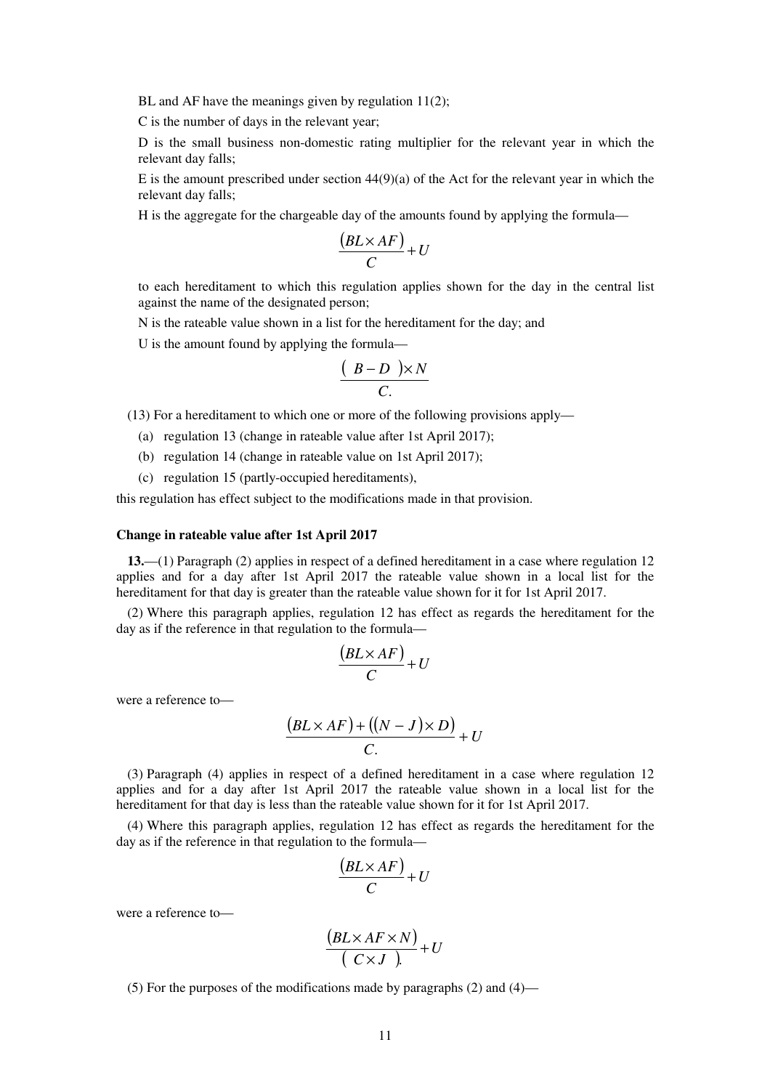BL and AF have the meanings given by regulation 11(2);

C is the number of days in the relevant year;

D is the small business non-domestic rating multiplier for the relevant year in which the relevant day falls;

E is the amount prescribed under section  $44(9)(a)$  of the Act for the relevant year in which the relevant day falls;

H is the aggregate for the chargeable day of the amounts found by applying the formula—

$$
\frac{(BL \times AF)}{C} + U
$$

to each hereditament to which this regulation applies shown for the day in the central list against the name of the designated person;

N is the rateable value shown in a list for the hereditament for the day; and

U is the amount found by applying the formula—

$$
\frac{(B-D)\times N}{C}
$$

(13) For a hereditament to which one or more of the following provisions apply—

- (a) regulation 13 (change in rateable value after 1st April 2017);
- (b) regulation 14 (change in rateable value on 1st April 2017);
- (c) regulation 15 (partly-occupied hereditaments),

this regulation has effect subject to the modifications made in that provision.

#### **Change in rateable value after 1st April 2017**

**13.**—(1) Paragraph (2) applies in respect of a defined hereditament in a case where regulation 12 applies and for a day after 1st April 2017 the rateable value shown in a local list for the hereditament for that day is greater than the rateable value shown for it for 1st April 2017.

(2) Where this paragraph applies, regulation 12 has effect as regards the hereditament for the day as if the reference in that regulation to the formula—

$$
\frac{(BL \times AF)}{C} + U
$$

were a reference to—

$$
\frac{(BL \times AF) + ((N-J) \times D)}{C} + U
$$

(3) Paragraph (4) applies in respect of a defined hereditament in a case where regulation 12 applies and for a day after 1st April 2017 the rateable value shown in a local list for the hereditament for that day is less than the rateable value shown for it for 1st April 2017.

(4) Where this paragraph applies, regulation 12 has effect as regards the hereditament for the day as if the reference in that regulation to the formula—

$$
\frac{(BL \times AF)}{C} + U
$$

were a reference to—

$$
\frac{(BL \times AF \times N)}{(C \times J)} + U
$$

(5) For the purposes of the modifications made by paragraphs (2) and (4)—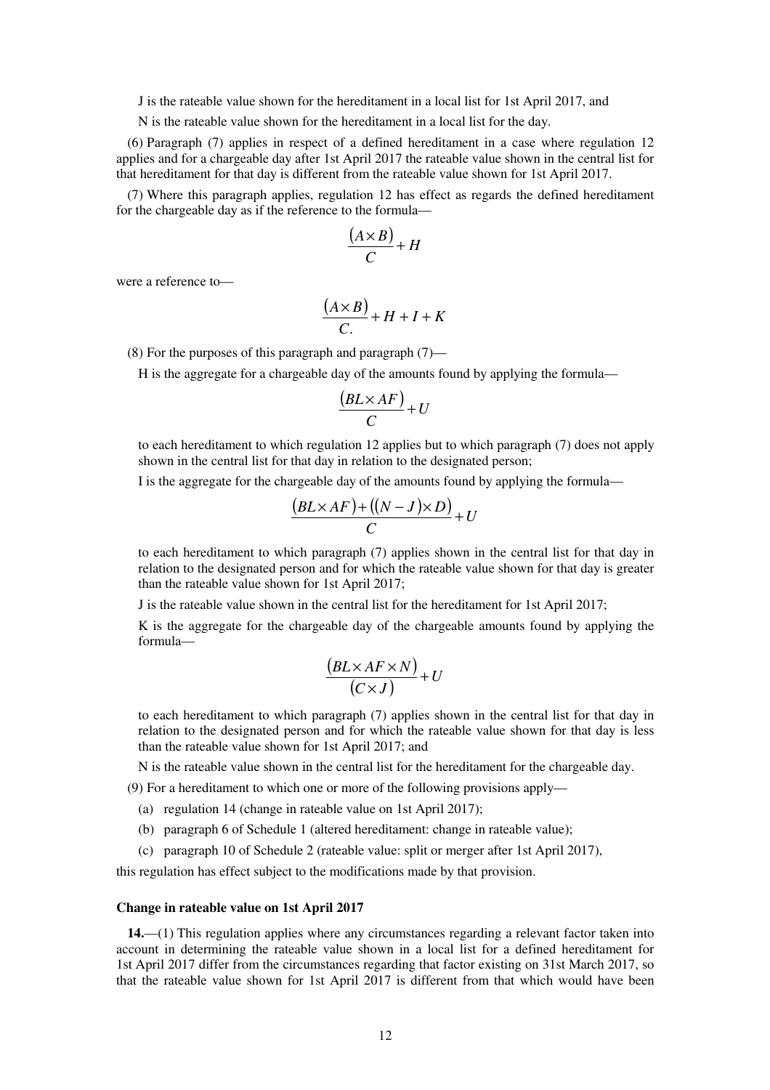J is the rateable value shown for the hereditament in a local list for 1st April 2017, and

N is the rateable value shown for the hereditament in a local list for the day.

(6) Paragraph (7) applies in respect of a defined hereditament in a case where regulation 12 applies and for a chargeable day after 1st April 2017 the rateable value shown in the central list for that hereditament for that day is different from the rateable value shown for 1st April 2017.

(7) Where this paragraph applies, regulation 12 has effect as regards the defined hereditament for the chargeable day as if the reference to the formula—

$$
\frac{(A\times B)}{C} + H
$$

were a reference to—

$$
\frac{(A \times B)}{C} + H + I + K
$$

(8) For the purposes of this paragraph and paragraph (7)—

H is the aggregate for a chargeable day of the amounts found by applying the formula—

$$
\frac{(BL \times AF)}{C} + U
$$

to each hereditament to which regulation 12 applies but to which paragraph (7) does not apply shown in the central list for that day in relation to the designated person;

I is the aggregate for the chargeable day of the amounts found by applying the formula—

$$
\frac{(BL \times AF) + ((N-J) \times D)}{C} + U
$$

to each hereditament to which paragraph (7) applies shown in the central list for that day in relation to the designated person and for which the rateable value shown for that day is greater than the rateable value shown for 1st April 2017;

J is the rateable value shown in the central list for the hereditament for 1st April 2017;

K is the aggregate for the chargeable day of the chargeable amounts found by applying the formula—

$$
\frac{(BL \times AF \times N)}{(C \times J)} + U
$$

to each hereditament to which paragraph (7) applies shown in the central list for that day in relation to the designated person and for which the rateable value shown for that day is less than the rateable value shown for 1st April 2017; and

N is the rateable value shown in the central list for the hereditament for the chargeable day.

(9) For a hereditament to which one or more of the following provisions apply—

- (a) regulation 14 (change in rateable value on 1st April 2017);
- (b) paragraph 6 of Schedule 1 (altered hereditament: change in rateable value);
- (c) paragraph 10 of Schedule 2 (rateable value: split or merger after 1st April 2017),

this regulation has effect subject to the modifications made by that provision.

#### **Change in rateable value on 1st April 2017**

**14.**—(1) This regulation applies where any circumstances regarding a relevant factor taken into account in determining the rateable value shown in a local list for a defined hereditament for 1st April 2017 differ from the circumstances regarding that factor existing on 31st March 2017, so that the rateable value shown for 1st April 2017 is different from that which would have been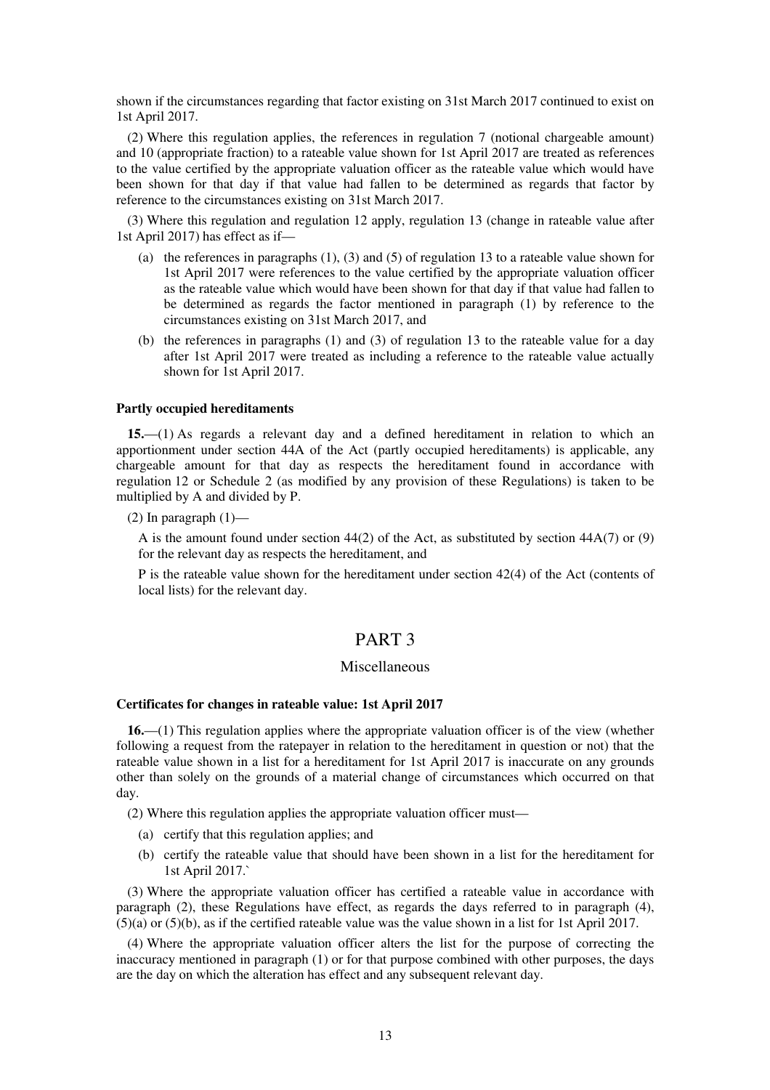shown if the circumstances regarding that factor existing on 31st March 2017 continued to exist on 1st April 2017.

(2) Where this regulation applies, the references in regulation 7 (notional chargeable amount) and 10 (appropriate fraction) to a rateable value shown for 1st April 2017 are treated as references to the value certified by the appropriate valuation officer as the rateable value which would have been shown for that day if that value had fallen to be determined as regards that factor by reference to the circumstances existing on 31st March 2017.

(3) Where this regulation and regulation 12 apply, regulation 13 (change in rateable value after 1st April 2017) has effect as if—

- (a) the references in paragraphs (1), (3) and (5) of regulation 13 to a rateable value shown for 1st April 2017 were references to the value certified by the appropriate valuation officer as the rateable value which would have been shown for that day if that value had fallen to be determined as regards the factor mentioned in paragraph (1) by reference to the circumstances existing on 31st March 2017, and
- (b) the references in paragraphs (1) and (3) of regulation 13 to the rateable value for a day after 1st April 2017 were treated as including a reference to the rateable value actually shown for 1st April 2017.

#### **Partly occupied hereditaments**

**15.**—(1) As regards a relevant day and a defined hereditament in relation to which an apportionment under section 44A of the Act (partly occupied hereditaments) is applicable, any chargeable amount for that day as respects the hereditament found in accordance with regulation 12 or Schedule 2 (as modified by any provision of these Regulations) is taken to be multiplied by A and divided by P.

(2) In paragraph  $(1)$ —

A is the amount found under section  $44(2)$  of the Act, as substituted by section  $44A(7)$  or (9) for the relevant day as respects the hereditament, and

P is the rateable value shown for the hereditament under section 42(4) of the Act (contents of local lists) for the relevant day.

# PART 3

### Miscellaneous

#### **Certificates for changes in rateable value: 1st April 2017**

**16.**—(1) This regulation applies where the appropriate valuation officer is of the view (whether following a request from the ratepayer in relation to the hereditament in question or not) that the rateable value shown in a list for a hereditament for 1st April 2017 is inaccurate on any grounds other than solely on the grounds of a material change of circumstances which occurred on that day.

(2) Where this regulation applies the appropriate valuation officer must—

- (a) certify that this regulation applies; and
- (b) certify the rateable value that should have been shown in a list for the hereditament for 1st April 2017.`

(3) Where the appropriate valuation officer has certified a rateable value in accordance with paragraph (2), these Regulations have effect, as regards the days referred to in paragraph (4), (5)(a) or (5)(b), as if the certified rateable value was the value shown in a list for 1st April 2017.

(4) Where the appropriate valuation officer alters the list for the purpose of correcting the inaccuracy mentioned in paragraph (1) or for that purpose combined with other purposes, the days are the day on which the alteration has effect and any subsequent relevant day.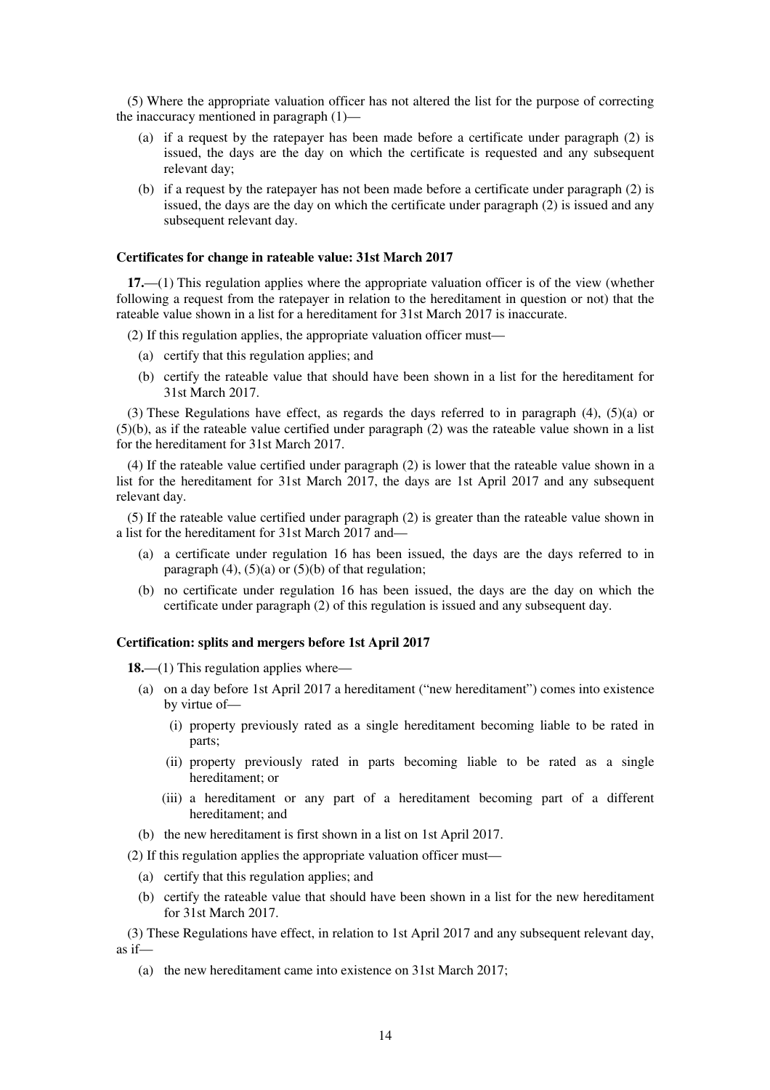(5) Where the appropriate valuation officer has not altered the list for the purpose of correcting the inaccuracy mentioned in paragraph (1)—

- (a) if a request by the ratepayer has been made before a certificate under paragraph (2) is issued, the days are the day on which the certificate is requested and any subsequent relevant day;
- (b) if a request by the ratepayer has not been made before a certificate under paragraph (2) is issued, the days are the day on which the certificate under paragraph (2) is issued and any subsequent relevant day.

### **Certificates for change in rateable value: 31st March 2017**

**17.**—(1) This regulation applies where the appropriate valuation officer is of the view (whether following a request from the ratepayer in relation to the hereditament in question or not) that the rateable value shown in a list for a hereditament for 31st March 2017 is inaccurate.

(2) If this regulation applies, the appropriate valuation officer must—

- (a) certify that this regulation applies; and
- (b) certify the rateable value that should have been shown in a list for the hereditament for 31st March 2017.

(3) These Regulations have effect, as regards the days referred to in paragraph (4), (5)(a) or (5)(b), as if the rateable value certified under paragraph (2) was the rateable value shown in a list for the hereditament for 31st March 2017.

(4) If the rateable value certified under paragraph (2) is lower that the rateable value shown in a list for the hereditament for 31st March 2017, the days are 1st April 2017 and any subsequent relevant day.

(5) If the rateable value certified under paragraph (2) is greater than the rateable value shown in a list for the hereditament for 31st March 2017 and—

- (a) a certificate under regulation 16 has been issued, the days are the days referred to in paragraph  $(4)$ ,  $(5)(a)$  or  $(5)(b)$  of that regulation;
- (b) no certificate under regulation 16 has been issued, the days are the day on which the certificate under paragraph (2) of this regulation is issued and any subsequent day.

#### **Certification: splits and mergers before 1st April 2017**

**18.**—(1) This regulation applies where—

- (a) on a day before 1st April 2017 a hereditament ("new hereditament") comes into existence by virtue of—
	- (i) property previously rated as a single hereditament becoming liable to be rated in parts;
	- (ii) property previously rated in parts becoming liable to be rated as a single hereditament; or
	- (iii) a hereditament or any part of a hereditament becoming part of a different hereditament; and
- (b) the new hereditament is first shown in a list on 1st April 2017.
- (2) If this regulation applies the appropriate valuation officer must—
	- (a) certify that this regulation applies; and
	- (b) certify the rateable value that should have been shown in a list for the new hereditament for 31st March 2017.

(3) These Regulations have effect, in relation to 1st April 2017 and any subsequent relevant day, as if—

(a) the new hereditament came into existence on 31st March 2017;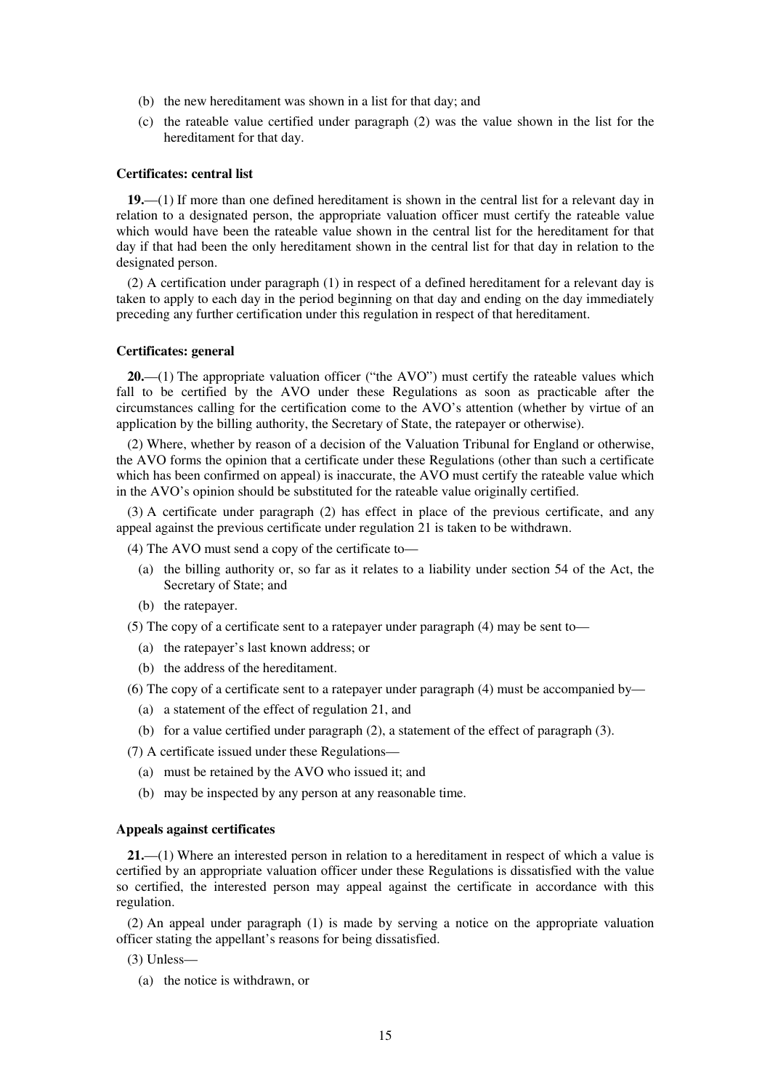- (b) the new hereditament was shown in a list for that day; and
- (c) the rateable value certified under paragraph (2) was the value shown in the list for the hereditament for that day.

#### **Certificates: central list**

**19.**—(1) If more than one defined hereditament is shown in the central list for a relevant day in relation to a designated person, the appropriate valuation officer must certify the rateable value which would have been the rateable value shown in the central list for the hereditament for that day if that had been the only hereditament shown in the central list for that day in relation to the designated person.

(2) A certification under paragraph (1) in respect of a defined hereditament for a relevant day is taken to apply to each day in the period beginning on that day and ending on the day immediately preceding any further certification under this regulation in respect of that hereditament.

#### **Certificates: general**

**20.**—(1) The appropriate valuation officer ("the AVO") must certify the rateable values which fall to be certified by the AVO under these Regulations as soon as practicable after the circumstances calling for the certification come to the AVO's attention (whether by virtue of an application by the billing authority, the Secretary of State, the ratepayer or otherwise).

(2) Where, whether by reason of a decision of the Valuation Tribunal for England or otherwise, the AVO forms the opinion that a certificate under these Regulations (other than such a certificate which has been confirmed on appeal) is inaccurate, the AVO must certify the rateable value which in the AVO's opinion should be substituted for the rateable value originally certified.

(3) A certificate under paragraph (2) has effect in place of the previous certificate, and any appeal against the previous certificate under regulation 21 is taken to be withdrawn.

(4) The AVO must send a copy of the certificate to—

- (a) the billing authority or, so far as it relates to a liability under section 54 of the Act, the Secretary of State; and
- (b) the ratepayer.

(5) The copy of a certificate sent to a ratepayer under paragraph (4) may be sent to—

- (a) the ratepayer's last known address; or
- (b) the address of the hereditament.

(6) The copy of a certificate sent to a ratepayer under paragraph (4) must be accompanied by—

- (a) a statement of the effect of regulation 21, and
- (b) for a value certified under paragraph (2), a statement of the effect of paragraph (3).
- (7) A certificate issued under these Regulations—
	- (a) must be retained by the AVO who issued it; and
	- (b) may be inspected by any person at any reasonable time.

#### **Appeals against certificates**

**21.**—(1) Where an interested person in relation to a hereditament in respect of which a value is certified by an appropriate valuation officer under these Regulations is dissatisfied with the value so certified, the interested person may appeal against the certificate in accordance with this regulation.

(2) An appeal under paragraph (1) is made by serving a notice on the appropriate valuation officer stating the appellant's reasons for being dissatisfied.

(3) Unless—

(a) the notice is withdrawn, or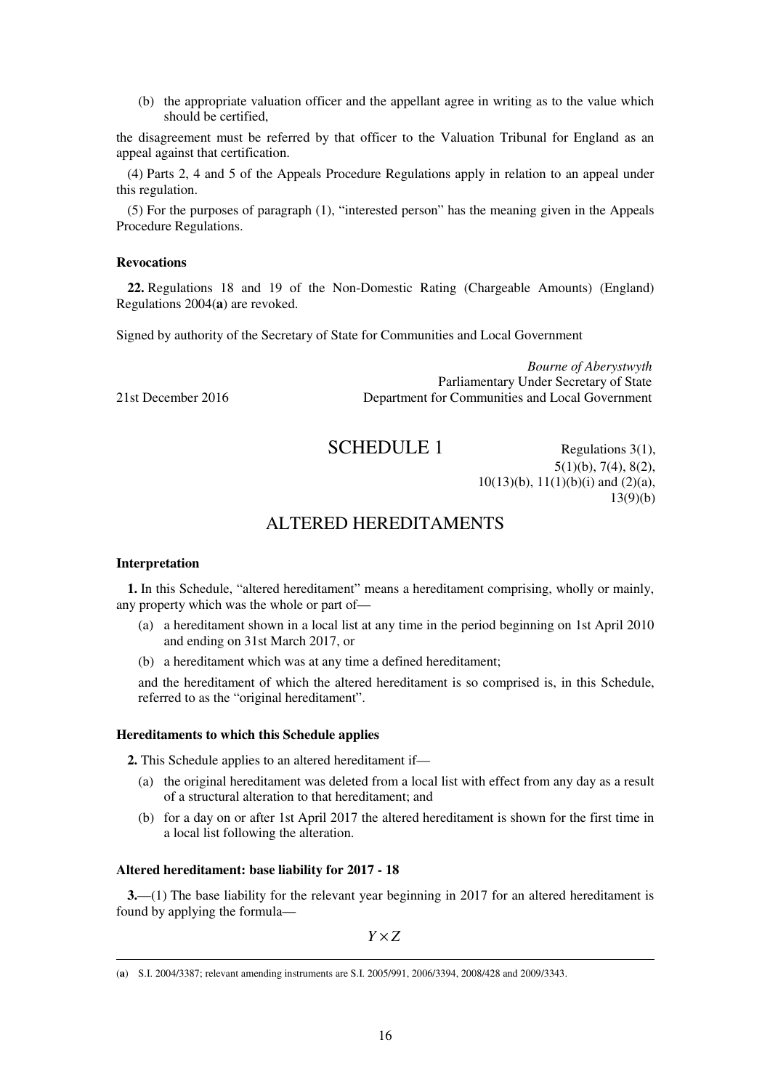(b) the appropriate valuation officer and the appellant agree in writing as to the value which should be certified,

the disagreement must be referred by that officer to the Valuation Tribunal for England as an appeal against that certification.

(4) Parts 2, 4 and 5 of the Appeals Procedure Regulations apply in relation to an appeal under this regulation.

(5) For the purposes of paragraph (1), "interested person" has the meaning given in the Appeals Procedure Regulations.

## **Revocations**

**22.** Regulations 18 and 19 of the Non-Domestic Rating (Chargeable Amounts) (England) Regulations 2004(**a**) are revoked.

Signed by authority of the Secretary of State for Communities and Local Government

*Bourne of Aberystwyth* Parliamentary Under Secretary of State 21st December 2016 Department for Communities and Local Government

# SCHEDULE 1 Regulations 3(1),

5(1)(b), 7(4), 8(2),  $10(13)(b)$ ,  $11(1)(b)(i)$  and  $(2)(a)$ , 13(9)(b)

# ALTERED HEREDITAMENTS

#### **Interpretation**

**1.** In this Schedule, "altered hereditament" means a hereditament comprising, wholly or mainly, any property which was the whole or part of—

- (a) a hereditament shown in a local list at any time in the period beginning on 1st April 2010 and ending on 31st March 2017, or
- (b) a hereditament which was at any time a defined hereditament;

and the hereditament of which the altered hereditament is so comprised is, in this Schedule, referred to as the "original hereditament".

#### **Hereditaments to which this Schedule applies**

**2.** This Schedule applies to an altered hereditament if—

- (a) the original hereditament was deleted from a local list with effect from any day as a result of a structural alteration to that hereditament; and
- (b) for a day on or after 1st April 2017 the altered hereditament is shown for the first time in a local list following the alteration.

# **Altered hereditament: base liability for 2017 - 18**

**3.**—(1) The base liability for the relevant year beginning in 2017 for an altered hereditament is found by applying the formula—

*Y* × *Z*

<sup>&</sup>lt;u>.</u> (**a**) S.I. 2004/3387; relevant amending instruments are S.I. 2005/991, 2006/3394, 2008/428 and 2009/3343.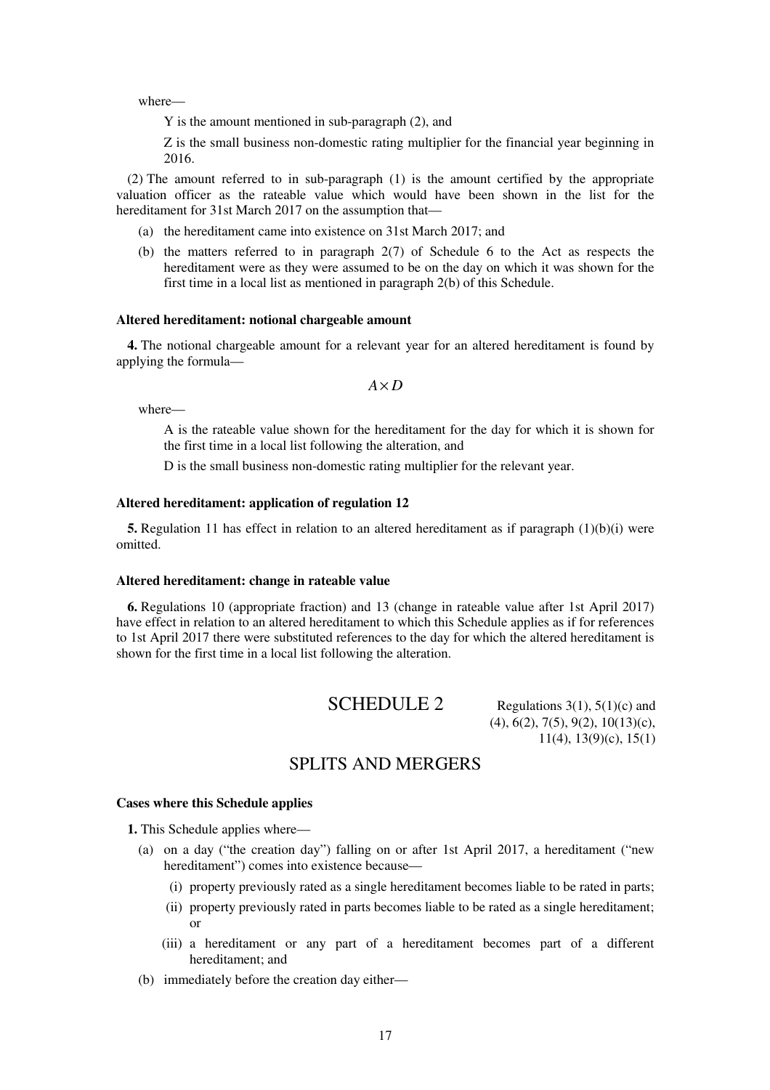where—

Y is the amount mentioned in sub-paragraph (2), and

Z is the small business non-domestic rating multiplier for the financial year beginning in 2016.

(2) The amount referred to in sub-paragraph (1) is the amount certified by the appropriate valuation officer as the rateable value which would have been shown in the list for the hereditament for 31st March 2017 on the assumption that—

- (a) the hereditament came into existence on 31st March 2017; and
- (b) the matters referred to in paragraph 2(7) of Schedule 6 to the Act as respects the hereditament were as they were assumed to be on the day on which it was shown for the first time in a local list as mentioned in paragraph 2(b) of this Schedule.

#### **Altered hereditament: notional chargeable amount**

**4.** The notional chargeable amount for a relevant year for an altered hereditament is found by applying the formula—

*A*× *D*

where—

A is the rateable value shown for the hereditament for the day for which it is shown for the first time in a local list following the alteration, and

D is the small business non-domestic rating multiplier for the relevant year.

# **Altered hereditament: application of regulation 12**

**5.** Regulation 11 has effect in relation to an altered hereditament as if paragraph (1)(b)(i) were omitted.

#### **Altered hereditament: change in rateable value**

**6.** Regulations 10 (appropriate fraction) and 13 (change in rateable value after 1st April 2017) have effect in relation to an altered hereditament to which this Schedule applies as if for references to 1st April 2017 there were substituted references to the day for which the altered hereditament is shown for the first time in a local list following the alteration.

# **SCHEDULE 2** Regulations  $3(1)$ ,  $5(1)(c)$  and

(4), 6(2), 7(5), 9(2), 10(13)(c), 11(4), 13(9)(c), 15(1)

# SPLITS AND MERGERS

### **Cases where this Schedule applies**

**1.** This Schedule applies where—

- (a) on a day ("the creation day") falling on or after 1st April 2017, a hereditament ("new hereditament") comes into existence because—
	- (i) property previously rated as a single hereditament becomes liable to be rated in parts;
	- (ii) property previously rated in parts becomes liable to be rated as a single hereditament; or
	- (iii) a hereditament or any part of a hereditament becomes part of a different hereditament; and
- (b) immediately before the creation day either—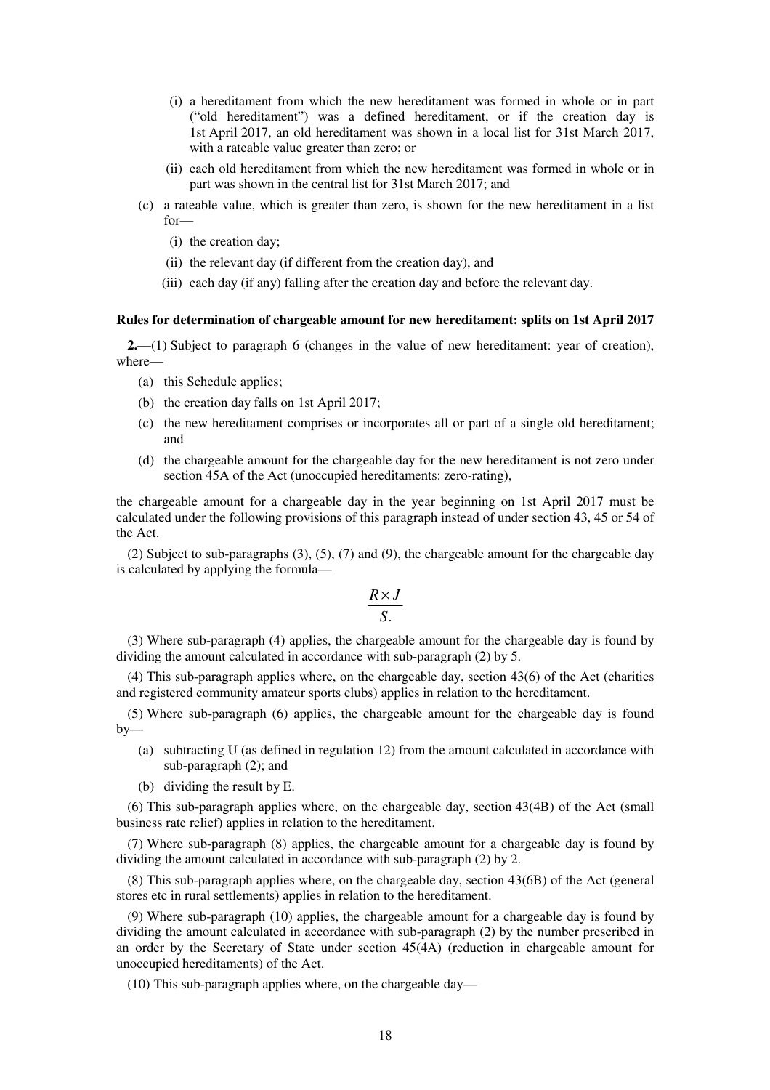- (i) a hereditament from which the new hereditament was formed in whole or in part ("old hereditament") was a defined hereditament, or if the creation day is 1st April 2017, an old hereditament was shown in a local list for 31st March 2017, with a rateable value greater than zero; or
- (ii) each old hereditament from which the new hereditament was formed in whole or in part was shown in the central list for 31st March 2017; and
- (c) a rateable value, which is greater than zero, is shown for the new hereditament in a list for—
	- (i) the creation day;
	- (ii) the relevant day (if different from the creation day), and
	- (iii) each day (if any) falling after the creation day and before the relevant day.

#### **Rules for determination of chargeable amount for new hereditament: splits on 1st April 2017**

**2.**—(1) Subject to paragraph 6 (changes in the value of new hereditament: year of creation), where—

- (a) this Schedule applies;
- (b) the creation day falls on 1st April 2017;
- (c) the new hereditament comprises or incorporates all or part of a single old hereditament; and
- (d) the chargeable amount for the chargeable day for the new hereditament is not zero under section 45A of the Act (unoccupied hereditaments: zero-rating),

the chargeable amount for a chargeable day in the year beginning on 1st April 2017 must be calculated under the following provisions of this paragraph instead of under section 43, 45 or 54 of the Act.

(2) Subject to sub-paragraphs (3), (5), (7) and (9), the chargeable amount for the chargeable day is calculated by applying the formula—

$$
\frac{R \times J}{S}
$$

(3) Where sub-paragraph (4) applies, the chargeable amount for the chargeable day is found by dividing the amount calculated in accordance with sub-paragraph (2) by 5.

(4) This sub-paragraph applies where, on the chargeable day, section 43(6) of the Act (charities and registered community amateur sports clubs) applies in relation to the hereditament.

(5) Where sub-paragraph (6) applies, the chargeable amount for the chargeable day is found by—

- (a) subtracting U (as defined in regulation 12) from the amount calculated in accordance with sub-paragraph (2); and
- (b) dividing the result by E.

(6) This sub-paragraph applies where, on the chargeable day, section 43(4B) of the Act (small business rate relief) applies in relation to the hereditament.

(7) Where sub-paragraph (8) applies, the chargeable amount for a chargeable day is found by dividing the amount calculated in accordance with sub-paragraph (2) by 2.

(8) This sub-paragraph applies where, on the chargeable day, section 43(6B) of the Act (general stores etc in rural settlements) applies in relation to the hereditament.

(9) Where sub-paragraph (10) applies, the chargeable amount for a chargeable day is found by dividing the amount calculated in accordance with sub-paragraph (2) by the number prescribed in an order by the Secretary of State under section 45(4A) (reduction in chargeable amount for unoccupied hereditaments) of the Act.

(10) This sub-paragraph applies where, on the chargeable day—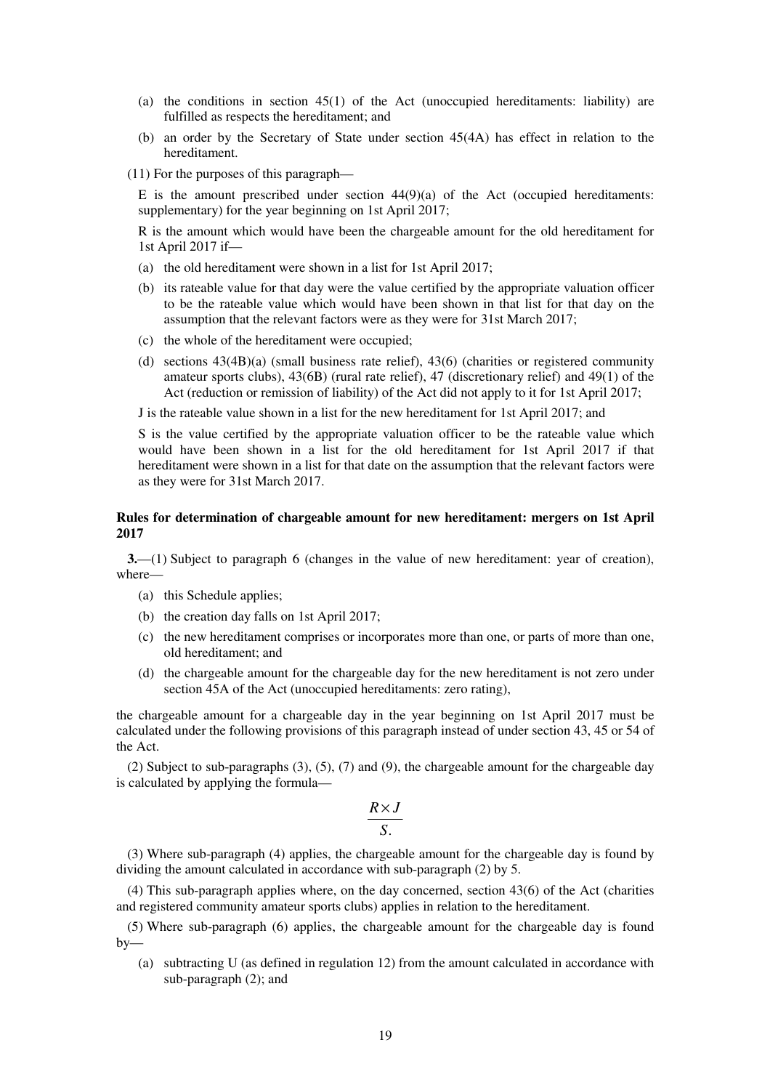- (a) the conditions in section 45(1) of the Act (unoccupied hereditaments: liability) are fulfilled as respects the hereditament; and
- (b) an order by the Secretary of State under section 45(4A) has effect in relation to the hereditament.
- (11) For the purposes of this paragraph—

E is the amount prescribed under section  $44(9)(a)$  of the Act (occupied hereditaments: supplementary) for the year beginning on 1st April 2017;

R is the amount which would have been the chargeable amount for the old hereditament for 1st April 2017 if—

- (a) the old hereditament were shown in a list for 1st April 2017;
- (b) its rateable value for that day were the value certified by the appropriate valuation officer to be the rateable value which would have been shown in that list for that day on the assumption that the relevant factors were as they were for 31st March 2017;
- (c) the whole of the hereditament were occupied;
- (d) sections 43(4B)(a) (small business rate relief), 43(6) (charities or registered community amateur sports clubs), 43(6B) (rural rate relief), 47 (discretionary relief) and 49(1) of the Act (reduction or remission of liability) of the Act did not apply to it for 1st April 2017;

J is the rateable value shown in a list for the new hereditament for 1st April 2017; and

S is the value certified by the appropriate valuation officer to be the rateable value which would have been shown in a list for the old hereditament for 1st April 2017 if that hereditament were shown in a list for that date on the assumption that the relevant factors were as they were for 31st March 2017.

# **Rules for determination of chargeable amount for new hereditament: mergers on 1st April 2017**

**3.**—(1) Subject to paragraph 6 (changes in the value of new hereditament: year of creation), where—

- (a) this Schedule applies;
- (b) the creation day falls on 1st April 2017;
- (c) the new hereditament comprises or incorporates more than one, or parts of more than one, old hereditament; and
- (d) the chargeable amount for the chargeable day for the new hereditament is not zero under section 45A of the Act (unoccupied hereditaments: zero rating),

the chargeable amount for a chargeable day in the year beginning on 1st April 2017 must be calculated under the following provisions of this paragraph instead of under section 43, 45 or 54 of the Act.

(2) Subject to sub-paragraphs (3), (5), (7) and (9), the chargeable amount for the chargeable day is calculated by applying the formula—

$$
\frac{R \times J}{S}
$$

(3) Where sub-paragraph (4) applies, the chargeable amount for the chargeable day is found by dividing the amount calculated in accordance with sub-paragraph (2) by 5.

(4) This sub-paragraph applies where, on the day concerned, section 43(6) of the Act (charities and registered community amateur sports clubs) applies in relation to the hereditament.

(5) Where sub-paragraph (6) applies, the chargeable amount for the chargeable day is found by—

(a) subtracting U (as defined in regulation 12) from the amount calculated in accordance with sub-paragraph (2); and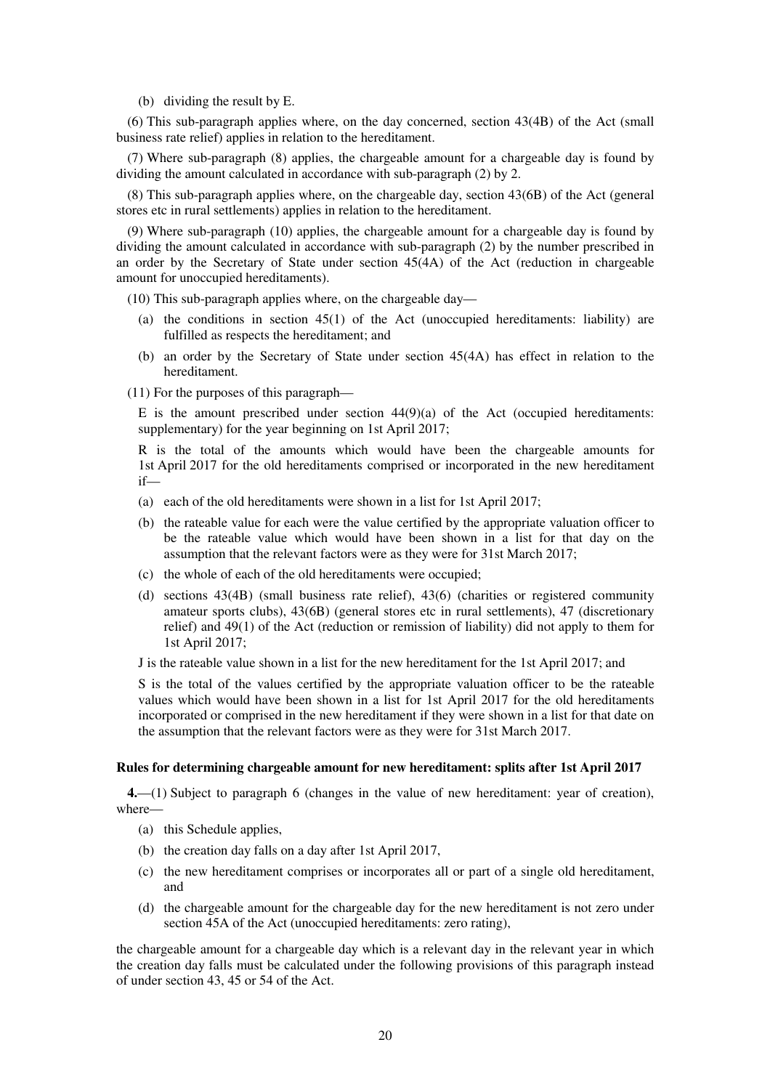(b) dividing the result by E.

(6) This sub-paragraph applies where, on the day concerned, section 43(4B) of the Act (small business rate relief) applies in relation to the hereditament.

(7) Where sub-paragraph (8) applies, the chargeable amount for a chargeable day is found by dividing the amount calculated in accordance with sub-paragraph (2) by 2.

(8) This sub-paragraph applies where, on the chargeable day, section 43(6B) of the Act (general stores etc in rural settlements) applies in relation to the hereditament.

(9) Where sub-paragraph (10) applies, the chargeable amount for a chargeable day is found by dividing the amount calculated in accordance with sub-paragraph (2) by the number prescribed in an order by the Secretary of State under section 45(4A) of the Act (reduction in chargeable amount for unoccupied hereditaments).

(10) This sub-paragraph applies where, on the chargeable day—

- (a) the conditions in section 45(1) of the Act (unoccupied hereditaments: liability) are fulfilled as respects the hereditament; and
- (b) an order by the Secretary of State under section 45(4A) has effect in relation to the hereditament.

(11) For the purposes of this paragraph—

E is the amount prescribed under section  $44(9)(a)$  of the Act (occupied hereditaments: supplementary) for the year beginning on 1st April 2017;

R is the total of the amounts which would have been the chargeable amounts for 1st April 2017 for the old hereditaments comprised or incorporated in the new hereditament if—

- (a) each of the old hereditaments were shown in a list for 1st April 2017;
- (b) the rateable value for each were the value certified by the appropriate valuation officer to be the rateable value which would have been shown in a list for that day on the assumption that the relevant factors were as they were for 31st March 2017;
- (c) the whole of each of the old hereditaments were occupied;
- (d) sections 43(4B) (small business rate relief), 43(6) (charities or registered community amateur sports clubs), 43(6B) (general stores etc in rural settlements), 47 (discretionary relief) and 49(1) of the Act (reduction or remission of liability) did not apply to them for 1st April 2017;

J is the rateable value shown in a list for the new hereditament for the 1st April 2017; and

S is the total of the values certified by the appropriate valuation officer to be the rateable values which would have been shown in a list for 1st April 2017 for the old hereditaments incorporated or comprised in the new hereditament if they were shown in a list for that date on the assumption that the relevant factors were as they were for 31st March 2017.

#### **Rules for determining chargeable amount for new hereditament: splits after 1st April 2017**

**4.**—(1) Subject to paragraph 6 (changes in the value of new hereditament: year of creation), where—

- (a) this Schedule applies,
- (b) the creation day falls on a day after 1st April 2017,
- (c) the new hereditament comprises or incorporates all or part of a single old hereditament, and
- (d) the chargeable amount for the chargeable day for the new hereditament is not zero under section 45A of the Act (unoccupied hereditaments: zero rating),

the chargeable amount for a chargeable day which is a relevant day in the relevant year in which the creation day falls must be calculated under the following provisions of this paragraph instead of under section 43, 45 or 54 of the Act.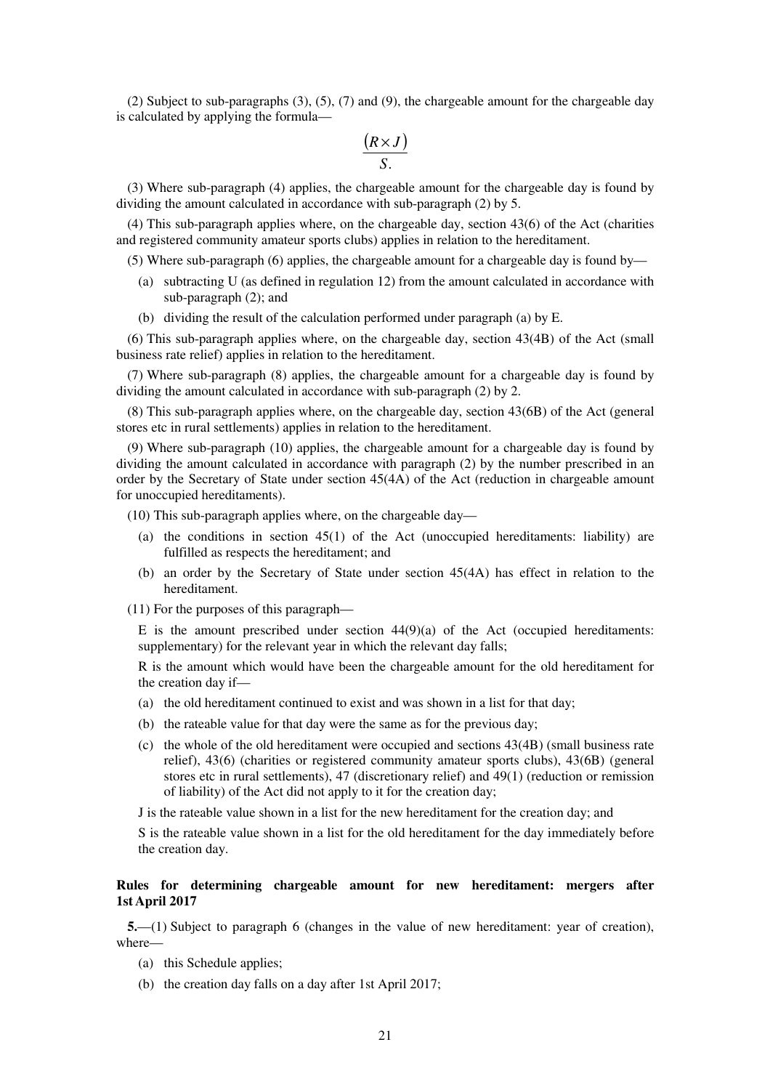(2) Subject to sub-paragraphs (3), (5), (7) and (9), the chargeable amount for the chargeable day is calculated by applying the formula—

$$
\frac{(R \times J)}{S}
$$

(3) Where sub-paragraph (4) applies, the chargeable amount for the chargeable day is found by dividing the amount calculated in accordance with sub-paragraph (2) by 5.

(4) This sub-paragraph applies where, on the chargeable day, section 43(6) of the Act (charities and registered community amateur sports clubs) applies in relation to the hereditament.

(5) Where sub-paragraph (6) applies, the chargeable amount for a chargeable day is found by—

- (a) subtracting U (as defined in regulation 12) from the amount calculated in accordance with sub-paragraph (2); and
- (b) dividing the result of the calculation performed under paragraph (a) by E.

(6) This sub-paragraph applies where, on the chargeable day, section 43(4B) of the Act (small business rate relief) applies in relation to the hereditament.

(7) Where sub-paragraph (8) applies, the chargeable amount for a chargeable day is found by dividing the amount calculated in accordance with sub-paragraph (2) by 2.

(8) This sub-paragraph applies where, on the chargeable day, section 43(6B) of the Act (general stores etc in rural settlements) applies in relation to the hereditament.

(9) Where sub-paragraph (10) applies, the chargeable amount for a chargeable day is found by dividing the amount calculated in accordance with paragraph (2) by the number prescribed in an order by the Secretary of State under section 45(4A) of the Act (reduction in chargeable amount for unoccupied hereditaments).

(10) This sub-paragraph applies where, on the chargeable day—

- (a) the conditions in section 45(1) of the Act (unoccupied hereditaments: liability) are fulfilled as respects the hereditament; and
- (b) an order by the Secretary of State under section 45(4A) has effect in relation to the hereditament.
- (11) For the purposes of this paragraph—

E is the amount prescribed under section  $44(9)(a)$  of the Act (occupied hereditaments: supplementary) for the relevant year in which the relevant day falls;

R is the amount which would have been the chargeable amount for the old hereditament for the creation day if—

- (a) the old hereditament continued to exist and was shown in a list for that day;
- (b) the rateable value for that day were the same as for the previous day;
- (c) the whole of the old hereditament were occupied and sections 43(4B) (small business rate relief), 43(6) (charities or registered community amateur sports clubs), 43(6B) (general stores etc in rural settlements), 47 (discretionary relief) and 49(1) (reduction or remission of liability) of the Act did not apply to it for the creation day;

J is the rateable value shown in a list for the new hereditament for the creation day; and

S is the rateable value shown in a list for the old hereditament for the day immediately before the creation day.

## **Rules for determining chargeable amount for new hereditament: mergers after 1st April 2017**

**5.**—(1) Subject to paragraph 6 (changes in the value of new hereditament: year of creation), where—

- (a) this Schedule applies;
- (b) the creation day falls on a day after 1st April 2017;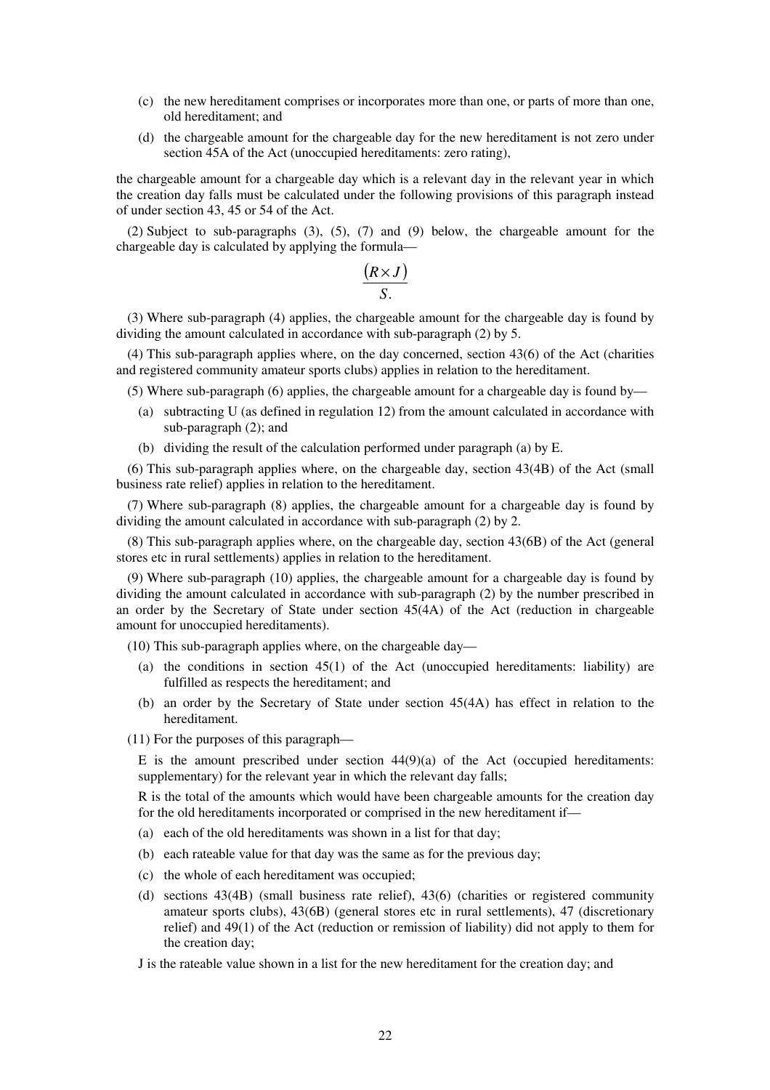- (c) the new hereditament comprises or incorporates more than one, or parts of more than one, old hereditament; and
- (d) the chargeable amount for the chargeable day for the new hereditament is not zero under section 45A of the Act (unoccupied hereditaments: zero rating),

the chargeable amount for a chargeable day which is a relevant day in the relevant year in which the creation day falls must be calculated under the following provisions of this paragraph instead of under section 43, 45 or 54 of the Act.

(2) Subject to sub-paragraphs (3), (5), (7) and (9) below, the chargeable amount for the chargeable day is calculated by applying the formula—

$$
\frac{(R \times J)}{S}
$$

(3) Where sub-paragraph (4) applies, the chargeable amount for the chargeable day is found by dividing the amount calculated in accordance with sub-paragraph (2) by 5.

(4) This sub-paragraph applies where, on the day concerned, section 43(6) of the Act (charities and registered community amateur sports clubs) applies in relation to the hereditament.

(5) Where sub-paragraph (6) applies, the chargeable amount for a chargeable day is found by—

- (a) subtracting U (as defined in regulation 12) from the amount calculated in accordance with sub-paragraph (2); and
- (b) dividing the result of the calculation performed under paragraph (a) by E.

(6) This sub-paragraph applies where, on the chargeable day, section 43(4B) of the Act (small business rate relief) applies in relation to the hereditament.

(7) Where sub-paragraph (8) applies, the chargeable amount for a chargeable day is found by dividing the amount calculated in accordance with sub-paragraph (2) by 2.

(8) This sub-paragraph applies where, on the chargeable day, section 43(6B) of the Act (general stores etc in rural settlements) applies in relation to the hereditament.

(9) Where sub-paragraph (10) applies, the chargeable amount for a chargeable day is found by dividing the amount calculated in accordance with sub-paragraph (2) by the number prescribed in an order by the Secretary of State under section 45(4A) of the Act (reduction in chargeable amount for unoccupied hereditaments).

(10) This sub-paragraph applies where, on the chargeable day—

- (a) the conditions in section 45(1) of the Act (unoccupied hereditaments: liability) are fulfilled as respects the hereditament; and
- (b) an order by the Secretary of State under section 45(4A) has effect in relation to the hereditament.
- (11) For the purposes of this paragraph—

E is the amount prescribed under section  $44(9)(a)$  of the Act (occupied hereditaments: supplementary) for the relevant year in which the relevant day falls;

R is the total of the amounts which would have been chargeable amounts for the creation day for the old hereditaments incorporated or comprised in the new hereditament if—

- (a) each of the old hereditaments was shown in a list for that day;
- (b) each rateable value for that day was the same as for the previous day;
- (c) the whole of each hereditament was occupied;
- (d) sections 43(4B) (small business rate relief), 43(6) (charities or registered community amateur sports clubs), 43(6B) (general stores etc in rural settlements), 47 (discretionary relief) and 49(1) of the Act (reduction or remission of liability) did not apply to them for the creation day;

J is the rateable value shown in a list for the new hereditament for the creation day; and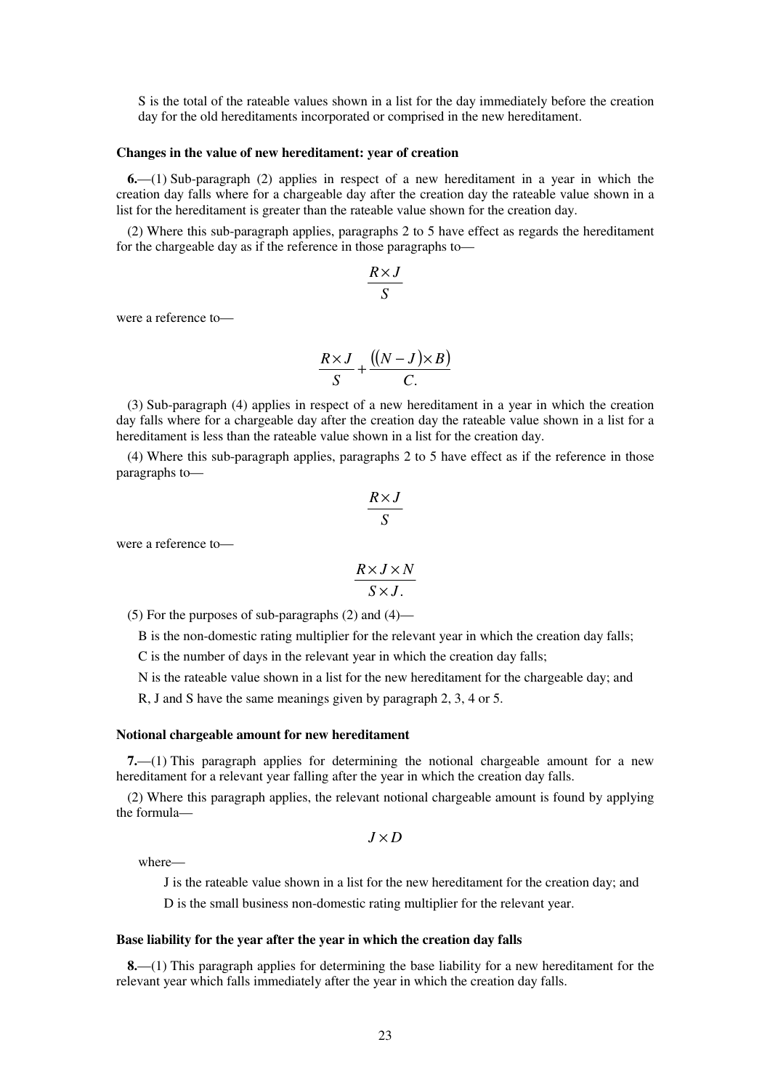S is the total of the rateable values shown in a list for the day immediately before the creation day for the old hereditaments incorporated or comprised in the new hereditament.

#### **Changes in the value of new hereditament: year of creation**

**6.**—(1) Sub-paragraph (2) applies in respect of a new hereditament in a year in which the creation day falls where for a chargeable day after the creation day the rateable value shown in a list for the hereditament is greater than the rateable value shown for the creation day.

(2) Where this sub-paragraph applies, paragraphs 2 to 5 have effect as regards the hereditament for the chargeable day as if the reference in those paragraphs to—

$$
\frac{R \times J}{S}
$$

were a reference to—

$$
\frac{R \times J}{S} + \frac{((N-J) \times B)}{C}
$$

(3) Sub-paragraph (4) applies in respect of a new hereditament in a year in which the creation day falls where for a chargeable day after the creation day the rateable value shown in a list for a hereditament is less than the rateable value shown in a list for the creation day.

(4) Where this sub-paragraph applies, paragraphs 2 to 5 have effect as if the reference in those paragraphs to—

$$
\frac{R \times J}{S}
$$

were a reference to—

$$
\frac{R \times J \times N}{S \times J}
$$

(5) For the purposes of sub-paragraphs  $(2)$  and  $(4)$ —

B is the non-domestic rating multiplier for the relevant year in which the creation day falls;

C is the number of days in the relevant year in which the creation day falls;

N is the rateable value shown in a list for the new hereditament for the chargeable day; and

R, J and S have the same meanings given by paragraph 2, 3, 4 or 5.

#### **Notional chargeable amount for new hereditament**

**7.**—(1) This paragraph applies for determining the notional chargeable amount for a new hereditament for a relevant year falling after the year in which the creation day falls.

(2) Where this paragraph applies, the relevant notional chargeable amount is found by applying the formula—

$$
J\!\times\!D
$$

where—

J is the rateable value shown in a list for the new hereditament for the creation day; and

D is the small business non-domestic rating multiplier for the relevant year.

#### **Base liability for the year after the year in which the creation day falls**

**8.**—(1) This paragraph applies for determining the base liability for a new hereditament for the relevant year which falls immediately after the year in which the creation day falls.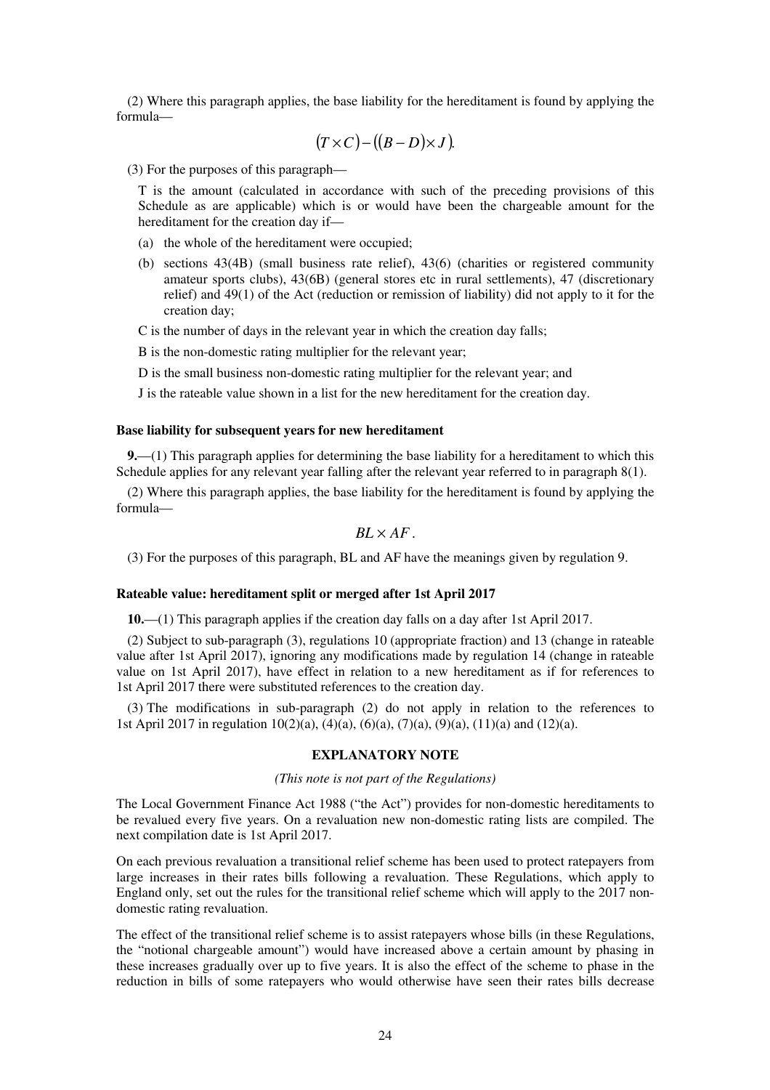(2) Where this paragraph applies, the base liability for the hereditament is found by applying the formula—

$$
(T \times C) - ((B - D) \times J).
$$

(3) For the purposes of this paragraph—

T is the amount (calculated in accordance with such of the preceding provisions of this Schedule as are applicable) which is or would have been the chargeable amount for the hereditament for the creation day if—

- (a) the whole of the hereditament were occupied;
- (b) sections 43(4B) (small business rate relief), 43(6) (charities or registered community amateur sports clubs), 43(6B) (general stores etc in rural settlements), 47 (discretionary relief) and 49(1) of the Act (reduction or remission of liability) did not apply to it for the creation day;

C is the number of days in the relevant year in which the creation day falls;

B is the non-domestic rating multiplier for the relevant year;

D is the small business non-domestic rating multiplier for the relevant year; and

J is the rateable value shown in a list for the new hereditament for the creation day.

#### **Base liability for subsequent years for new hereditament**

**9.**—(1) This paragraph applies for determining the base liability for a hereditament to which this Schedule applies for any relevant year falling after the relevant year referred to in paragraph 8(1).

(2) Where this paragraph applies, the base liability for the hereditament is found by applying the formula—

$$
BL \times AF.
$$

(3) For the purposes of this paragraph, BL and AF have the meanings given by regulation 9.

# **Rateable value: hereditament split or merged after 1st April 2017**

**10.**—(1) This paragraph applies if the creation day falls on a day after 1st April 2017.

(2) Subject to sub-paragraph (3), regulations 10 (appropriate fraction) and 13 (change in rateable value after 1st April 2017), ignoring any modifications made by regulation 14 (change in rateable value on 1st April 2017), have effect in relation to a new hereditament as if for references to 1st April 2017 there were substituted references to the creation day.

(3) The modifications in sub-paragraph (2) do not apply in relation to the references to 1st April 2017 in regulation 10(2)(a), (4)(a), (6)(a), (7)(a), (9)(a), (11)(a) and (12)(a).

## **EXPLANATORY NOTE**

## *(This note is not part of the Regulations)*

The Local Government Finance Act 1988 ("the Act") provides for non-domestic hereditaments to be revalued every five years. On a revaluation new non-domestic rating lists are compiled. The next compilation date is 1st April 2017.

On each previous revaluation a transitional relief scheme has been used to protect ratepayers from large increases in their rates bills following a revaluation. These Regulations, which apply to England only, set out the rules for the transitional relief scheme which will apply to the 2017 nondomestic rating revaluation.

The effect of the transitional relief scheme is to assist ratepayers whose bills (in these Regulations, the "notional chargeable amount") would have increased above a certain amount by phasing in these increases gradually over up to five years. It is also the effect of the scheme to phase in the reduction in bills of some ratepayers who would otherwise have seen their rates bills decrease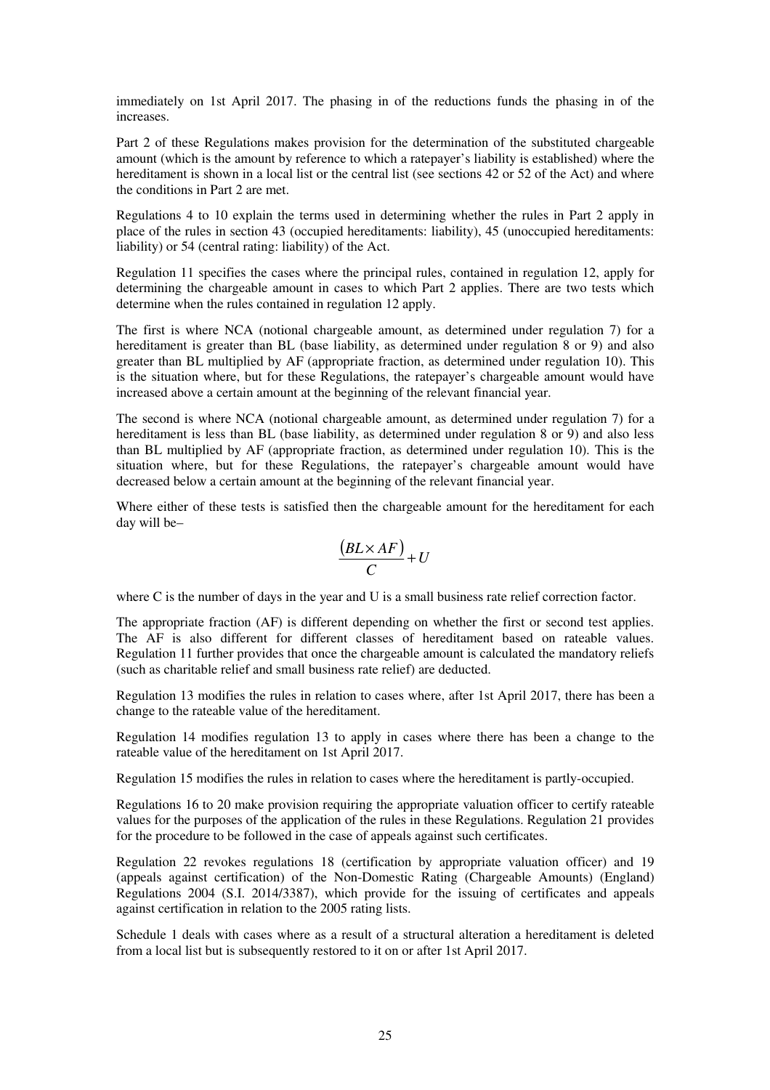immediately on 1st April 2017. The phasing in of the reductions funds the phasing in of the increases.

Part 2 of these Regulations makes provision for the determination of the substituted chargeable amount (which is the amount by reference to which a ratepayer's liability is established) where the hereditament is shown in a local list or the central list (see sections 42 or 52 of the Act) and where the conditions in Part 2 are met.

Regulations 4 to 10 explain the terms used in determining whether the rules in Part 2 apply in place of the rules in section 43 (occupied hereditaments: liability), 45 (unoccupied hereditaments: liability) or 54 (central rating: liability) of the Act.

Regulation 11 specifies the cases where the principal rules, contained in regulation 12, apply for determining the chargeable amount in cases to which Part 2 applies. There are two tests which determine when the rules contained in regulation 12 apply.

The first is where NCA (notional chargeable amount, as determined under regulation 7) for a hereditament is greater than BL (base liability, as determined under regulation 8 or 9) and also greater than BL multiplied by AF (appropriate fraction, as determined under regulation 10). This is the situation where, but for these Regulations, the ratepayer's chargeable amount would have increased above a certain amount at the beginning of the relevant financial year.

The second is where NCA (notional chargeable amount, as determined under regulation 7) for a hereditament is less than BL (base liability, as determined under regulation 8 or 9) and also less than BL multiplied by AF (appropriate fraction, as determined under regulation 10). This is the situation where, but for these Regulations, the ratepayer's chargeable amount would have decreased below a certain amount at the beginning of the relevant financial year.

Where either of these tests is satisfied then the chargeable amount for the hereditament for each day will be–

$$
\frac{(BL \times AF)}{C} + U
$$

where C is the number of days in the year and U is a small business rate relief correction factor.

The appropriate fraction (AF) is different depending on whether the first or second test applies. The AF is also different for different classes of hereditament based on rateable values. Regulation 11 further provides that once the chargeable amount is calculated the mandatory reliefs (such as charitable relief and small business rate relief) are deducted.

Regulation 13 modifies the rules in relation to cases where, after 1st April 2017, there has been a change to the rateable value of the hereditament.

Regulation 14 modifies regulation 13 to apply in cases where there has been a change to the rateable value of the hereditament on 1st April 2017.

Regulation 15 modifies the rules in relation to cases where the hereditament is partly-occupied.

Regulations 16 to 20 make provision requiring the appropriate valuation officer to certify rateable values for the purposes of the application of the rules in these Regulations. Regulation 21 provides for the procedure to be followed in the case of appeals against such certificates.

Regulation 22 revokes regulations 18 (certification by appropriate valuation officer) and 19 (appeals against certification) of the Non-Domestic Rating (Chargeable Amounts) (England) Regulations 2004 (S.I. 2014/3387), which provide for the issuing of certificates and appeals against certification in relation to the 2005 rating lists.

Schedule 1 deals with cases where as a result of a structural alteration a hereditament is deleted from a local list but is subsequently restored to it on or after 1st April 2017.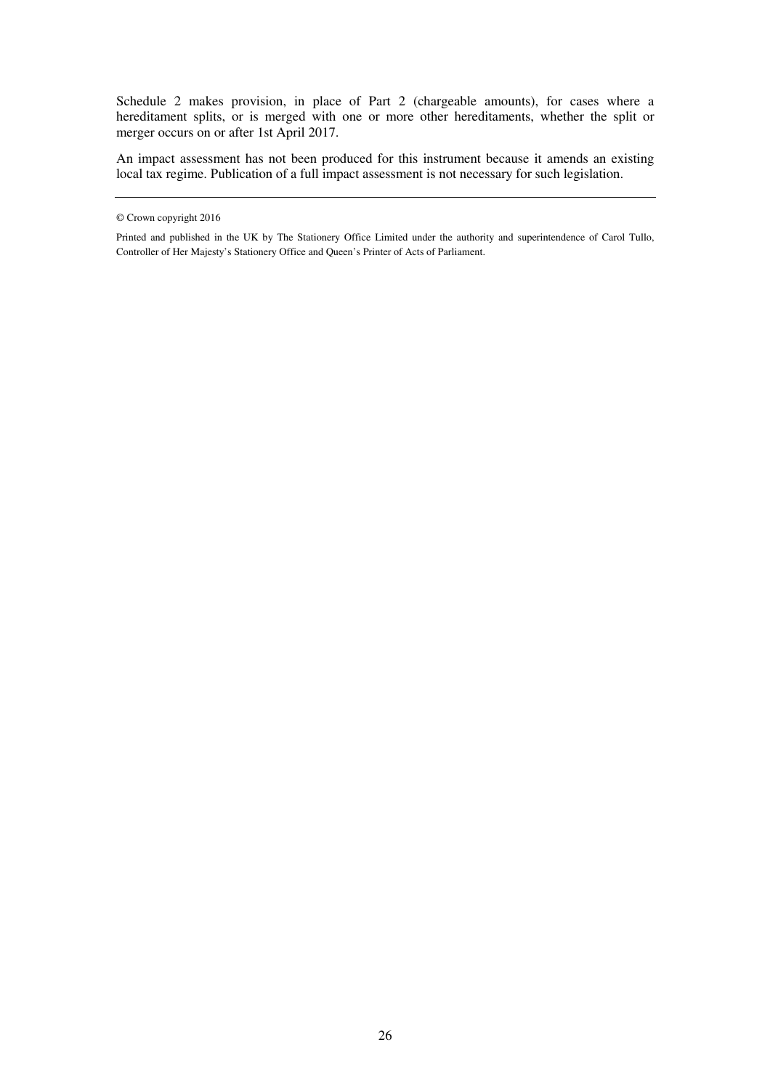Schedule 2 makes provision, in place of Part 2 (chargeable amounts), for cases where a hereditament splits, or is merged with one or more other hereditaments, whether the split or merger occurs on or after 1st April 2017.

An impact assessment has not been produced for this instrument because it amends an existing local tax regime. Publication of a full impact assessment is not necessary for such legislation.

<sup>©</sup> Crown copyright 2016

Printed and published in the UK by The Stationery Office Limited under the authority and superintendence of Carol Tullo, Controller of Her Majesty's Stationery Office and Queen's Printer of Acts of Parliament.